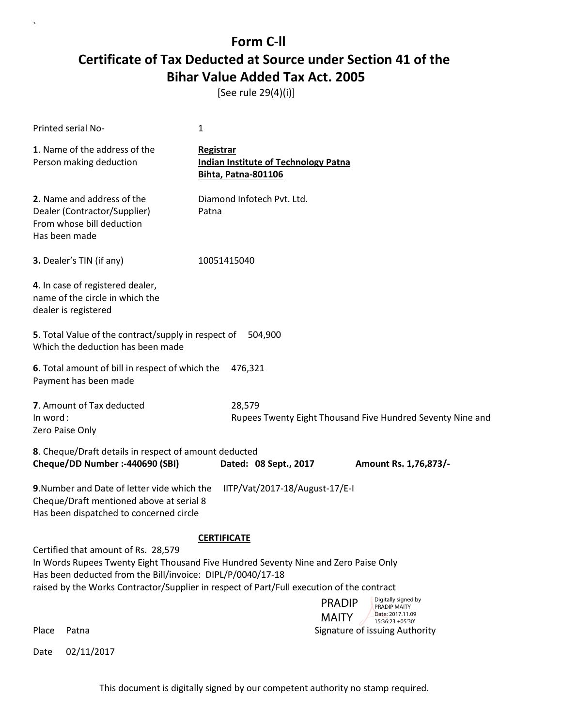[See rule 29(4)(i)]

| Printed serial No-                                                                                                                                                                                                                                                                                                                                                                             | 1                                                                                             |  |
|------------------------------------------------------------------------------------------------------------------------------------------------------------------------------------------------------------------------------------------------------------------------------------------------------------------------------------------------------------------------------------------------|-----------------------------------------------------------------------------------------------|--|
| 1. Name of the address of the<br>Person making deduction                                                                                                                                                                                                                                                                                                                                       | <b>Registrar</b><br><b>Indian Institute of Technology Patna</b><br><b>Bihta, Patna-801106</b> |  |
| 2. Name and address of the<br>Dealer (Contractor/Supplier)<br>From whose bill deduction<br>Has been made                                                                                                                                                                                                                                                                                       | Diamond Infotech Pvt. Ltd.<br>Patna                                                           |  |
| 3. Dealer's TIN (if any)                                                                                                                                                                                                                                                                                                                                                                       | 10051415040                                                                                   |  |
| 4. In case of registered dealer,<br>name of the circle in which the<br>dealer is registered                                                                                                                                                                                                                                                                                                    |                                                                                               |  |
| 5. Total Value of the contract/supply in respect of<br>Which the deduction has been made                                                                                                                                                                                                                                                                                                       | 504,900                                                                                       |  |
| 6. Total amount of bill in respect of which the<br>Payment has been made                                                                                                                                                                                                                                                                                                                       | 476,321                                                                                       |  |
| 7. Amount of Tax deducted<br>In word:<br>Zero Paise Only                                                                                                                                                                                                                                                                                                                                       | 28,579<br>Rupees Twenty Eight Thousand Five Hundred Seventy Nine and                          |  |
| 8. Cheque/Draft details in respect of amount deducted<br>Cheque/DD Number :- 440690 (SBI)                                                                                                                                                                                                                                                                                                      | Dated: 08 Sept., 2017<br>Amount Rs. 1,76,873/-                                                |  |
| 9. Number and Date of letter vide which the<br>Cheque/Draft mentioned above at serial 8<br>Has been dispatched to concerned circle                                                                                                                                                                                                                                                             | IITP/Vat/2017-18/August-17/E-I                                                                |  |
| <b>CERTIFICATE</b><br>Certified that amount of Rs. 28,579<br>In Words Rupees Twenty Eight Thousand Five Hundred Seventy Nine and Zero Paise Only<br>Has been deducted from the Bill/invoice: DIPL/P/0040/17-18<br>raised by the Works Contractor/Supplier in respect of Part/Full execution of the contract<br>Digitally signed by<br><b>PRADIP</b><br><b>PRADIP MAITY</b><br>Date: 2017.11.09 |                                                                                               |  |
| Place<br>Patna                                                                                                                                                                                                                                                                                                                                                                                 | <b>MAITY</b><br>15:36:23 + 05'30'<br>Signature of issuing Authority                           |  |
| 02/11/2017<br>Date                                                                                                                                                                                                                                                                                                                                                                             |                                                                                               |  |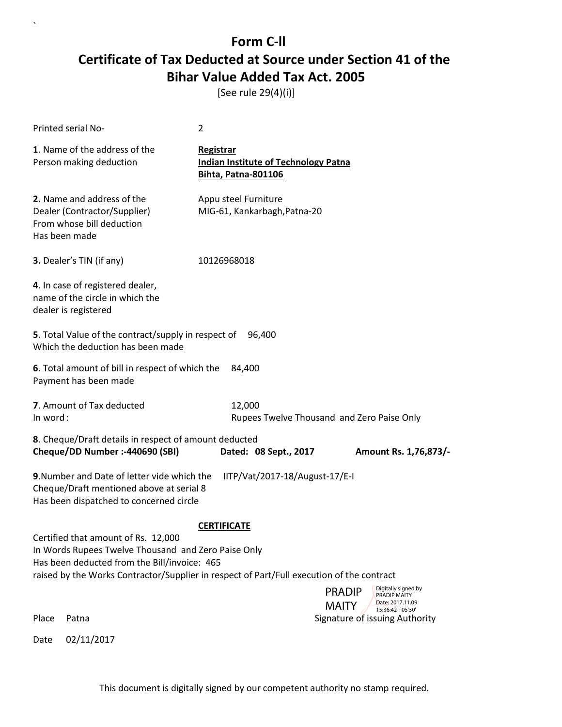[See rule 29(4)(i)]

 $\ddot{\phantom{0}}$ 

|          | <b>Printed serial No-</b>                                                                                                                                                                                                               | 2                                                                                      |                                                                                        |
|----------|-----------------------------------------------------------------------------------------------------------------------------------------------------------------------------------------------------------------------------------------|----------------------------------------------------------------------------------------|----------------------------------------------------------------------------------------|
|          | 1. Name of the address of the<br>Person making deduction                                                                                                                                                                                | Registrar<br><b>Indian Institute of Technology Patna</b><br><b>Bihta, Patna-801106</b> |                                                                                        |
|          | 2. Name and address of the<br>Dealer (Contractor/Supplier)<br>From whose bill deduction<br>Has been made                                                                                                                                | Appu steel Furniture<br>MIG-61, Kankarbagh, Patna-20                                   |                                                                                        |
|          | 3. Dealer's TIN (if any)                                                                                                                                                                                                                | 10126968018                                                                            |                                                                                        |
|          | 4. In case of registered dealer,<br>name of the circle in which the<br>dealer is registered                                                                                                                                             |                                                                                        |                                                                                        |
|          | 5. Total Value of the contract/supply in respect of<br>Which the deduction has been made                                                                                                                                                | 96.400                                                                                 |                                                                                        |
|          | 6. Total amount of bill in respect of which the<br>Payment has been made                                                                                                                                                                | 84.400                                                                                 |                                                                                        |
| In word: | 7. Amount of Tax deducted                                                                                                                                                                                                               | 12,000                                                                                 | Rupees Twelve Thousand and Zero Paise Only                                             |
|          | 8. Cheque/Draft details in respect of amount deducted<br>Cheque/DD Number :- 440690 (SBI)                                                                                                                                               | Dated: 08 Sept., 2017                                                                  | Amount Rs. 1,76,873/-                                                                  |
|          | 9. Number and Date of letter vide which the<br>Cheque/Draft mentioned above at serial 8<br>Has been dispatched to concerned circle                                                                                                      | IITP/Vat/2017-18/August-17/E-I                                                         |                                                                                        |
|          | Certified that amount of Rs. 12,000<br>In Words Rupees Twelve Thousand and Zero Paise Only<br>Has been deducted from the Bill/invoice: 465<br>raised by the Works Contractor/Supplier in respect of Part/Full execution of the contract | <b>CERTIFICATE</b>                                                                     | Digitally signed by<br><b>PRADIP</b><br>PRADIP MAITY                                   |
| Place    | Patna                                                                                                                                                                                                                                   |                                                                                        | Date: 2017.11.09<br><b>MAITY</b><br>15:36:42 +05'30'<br>Signature of issuing Authority |
| Date     | 02/11/2017                                                                                                                                                                                                                              |                                                                                        |                                                                                        |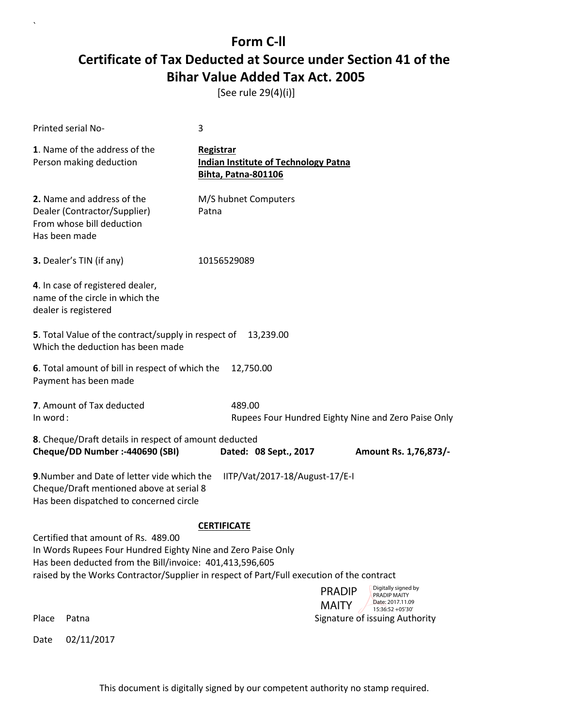[See rule 29(4)(i)]

| Printed serial No-                                                                                                                                                   | 3                                                                                         |  |
|----------------------------------------------------------------------------------------------------------------------------------------------------------------------|-------------------------------------------------------------------------------------------|--|
| 1. Name of the address of the<br>Person making deduction                                                                                                             | Registrar<br><b>Indian Institute of Technology Patna</b><br><b>Bihta, Patna-801106</b>    |  |
| 2. Name and address of the<br>Dealer (Contractor/Supplier)<br>From whose bill deduction<br>Has been made                                                             | M/S hubnet Computers<br>Patna                                                             |  |
| 3. Dealer's TIN (if any)                                                                                                                                             | 10156529089                                                                               |  |
| 4. In case of registered dealer,<br>name of the circle in which the<br>dealer is registered                                                                          |                                                                                           |  |
| 5. Total Value of the contract/supply in respect of<br>Which the deduction has been made                                                                             | 13,239.00                                                                                 |  |
| 6. Total amount of bill in respect of which the<br>Payment has been made                                                                                             | 12,750.00                                                                                 |  |
| 7. Amount of Tax deducted<br>In word:                                                                                                                                | 489.00<br>Rupees Four Hundred Eighty Nine and Zero Paise Only                             |  |
| 8. Cheque/Draft details in respect of amount deducted<br>Cheque/DD Number :- 440690 (SBI)<br>Dated: 08 Sept., 2017<br>Amount Rs. 1,76,873/-                          |                                                                                           |  |
| 9. Number and Date of letter vide which the<br>IITP/Vat/2017-18/August-17/E-I<br>Cheque/Draft mentioned above at serial 8<br>Has been dispatched to concerned circle |                                                                                           |  |
|                                                                                                                                                                      | <b>CERTIFICATE</b>                                                                        |  |
| Certified that amount of Rs. 489.00<br>In Words Rupees Four Hundred Eighty Nine and Zero Paise Only<br>Has been deducted from the Bill/invoice: 401,413,596,605      | raised by the Works Contractor/Supplier in respect of Part/Full execution of the contract |  |
|                                                                                                                                                                      | Digitally signed by<br><b>PRADIP</b><br><b>PRADIP MAITY</b><br>Date: 2017.11.09           |  |
| Place<br>Patna                                                                                                                                                       | <b>MAITY</b><br>15:36:52 +05'30'<br>Signature of issuing Authority                        |  |
| 02/11/2017<br>Date                                                                                                                                                   |                                                                                           |  |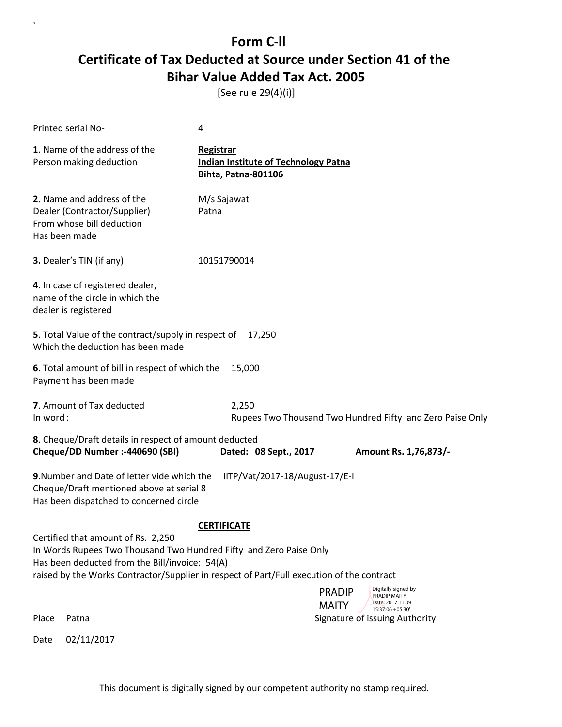[See rule 29(4)(i)]

| <b>Printed serial No-</b>                                                                                                                                                                                                                               | 4                                                                                             |  |  |
|---------------------------------------------------------------------------------------------------------------------------------------------------------------------------------------------------------------------------------------------------------|-----------------------------------------------------------------------------------------------|--|--|
| 1. Name of the address of the<br>Person making deduction                                                                                                                                                                                                | <b>Registrar</b><br><b>Indian Institute of Technology Patna</b><br><b>Bihta, Patna-801106</b> |  |  |
| 2. Name and address of the<br>Dealer (Contractor/Supplier)<br>From whose bill deduction<br>Has been made                                                                                                                                                | M/s Sajawat<br>Patna                                                                          |  |  |
| 3. Dealer's TIN (if any)                                                                                                                                                                                                                                | 10151790014                                                                                   |  |  |
| 4. In case of registered dealer,<br>name of the circle in which the<br>dealer is registered                                                                                                                                                             |                                                                                               |  |  |
| 5. Total Value of the contract/supply in respect of<br>Which the deduction has been made                                                                                                                                                                | 17,250                                                                                        |  |  |
| 6. Total amount of bill in respect of which the<br>15,000<br>Payment has been made                                                                                                                                                                      |                                                                                               |  |  |
| 7. Amount of Tax deducted<br>In word:                                                                                                                                                                                                                   | 2,250<br>Rupees Two Thousand Two Hundred Fifty and Zero Paise Only                            |  |  |
| 8. Cheque/Draft details in respect of amount deducted<br>Cheque/DD Number :- 440690 (SBI)                                                                                                                                                               | Dated: 08 Sept., 2017<br>Amount Rs. 1,76,873/-                                                |  |  |
| 9. Number and Date of letter vide which the<br>IITP/Vat/2017-18/August-17/E-I<br>Cheque/Draft mentioned above at serial 8<br>Has been dispatched to concerned circle                                                                                    |                                                                                               |  |  |
| <b>CERTIFICATE</b>                                                                                                                                                                                                                                      |                                                                                               |  |  |
| Certified that amount of Rs. 2,250<br>In Words Rupees Two Thousand Two Hundred Fifty and Zero Paise Only<br>Has been deducted from the Bill/invoice: 54(A)<br>raised by the Works Contractor/Supplier in respect of Part/Full execution of the contract |                                                                                               |  |  |
|                                                                                                                                                                                                                                                         | Digitally signed by<br><b>PRADIP</b><br>PRADIP MAITY<br>Date: 2017.11.09                      |  |  |
| Place<br>Patna                                                                                                                                                                                                                                          | <b>MAITY</b><br>15:37:06 +05'30'<br>Signature of issuing Authority                            |  |  |
| 02/11/2017<br>Date                                                                                                                                                                                                                                      |                                                                                               |  |  |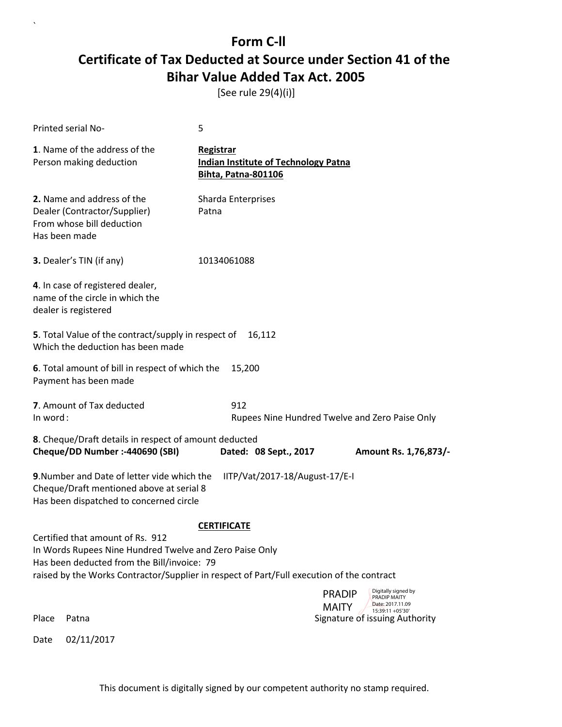[See rule 29(4)(i)]

| Printed serial No-                                                                                                                                                                                                                      | 5                                                                                      |                                                                                        |
|-----------------------------------------------------------------------------------------------------------------------------------------------------------------------------------------------------------------------------------------|----------------------------------------------------------------------------------------|----------------------------------------------------------------------------------------|
| 1. Name of the address of the<br>Person making deduction                                                                                                                                                                                | Registrar<br><b>Indian Institute of Technology Patna</b><br><b>Bihta, Patna-801106</b> |                                                                                        |
| 2. Name and address of the<br>Dealer (Contractor/Supplier)<br>From whose bill deduction<br>Has been made                                                                                                                                | Sharda Enterprises<br>Patna                                                            |                                                                                        |
| 3. Dealer's TIN (if any)                                                                                                                                                                                                                | 10134061088                                                                            |                                                                                        |
| 4. In case of registered dealer,<br>name of the circle in which the<br>dealer is registered                                                                                                                                             |                                                                                        |                                                                                        |
| 5. Total Value of the contract/supply in respect of<br>Which the deduction has been made                                                                                                                                                | 16,112                                                                                 |                                                                                        |
| 6. Total amount of bill in respect of which the<br>Payment has been made                                                                                                                                                                | 15,200                                                                                 |                                                                                        |
| 7. Amount of Tax deducted<br>In word:                                                                                                                                                                                                   | 912                                                                                    | Rupees Nine Hundred Twelve and Zero Paise Only                                         |
| 8. Cheque/Draft details in respect of amount deducted<br>Cheque/DD Number :- 440690 (SBI)                                                                                                                                               | Dated: 08 Sept., 2017                                                                  | Amount Rs. 1,76,873/-                                                                  |
| 9. Number and Date of letter vide which the<br>Cheque/Draft mentioned above at serial 8<br>Has been dispatched to concerned circle                                                                                                      | IITP/Vat/2017-18/August-17/E-I                                                         |                                                                                        |
| Certified that amount of Rs. 912<br>In Words Rupees Nine Hundred Twelve and Zero Paise Only<br>Has been deducted from the Bill/invoice: 79<br>raised by the Works Contractor/Supplier in respect of Part/Full execution of the contract | <b>CERTIFICATE</b>                                                                     |                                                                                        |
|                                                                                                                                                                                                                                         |                                                                                        | Digitally signed by<br><b>PRADIP</b><br><b>PRADIP MAITY</b>                            |
| Place<br>Patna                                                                                                                                                                                                                          |                                                                                        | Date: 2017.11.09<br><b>MAITY</b><br>15:39:11 +05'30'<br>Signature of issuing Authority |
| 02/11/2017<br>Date                                                                                                                                                                                                                      |                                                                                        |                                                                                        |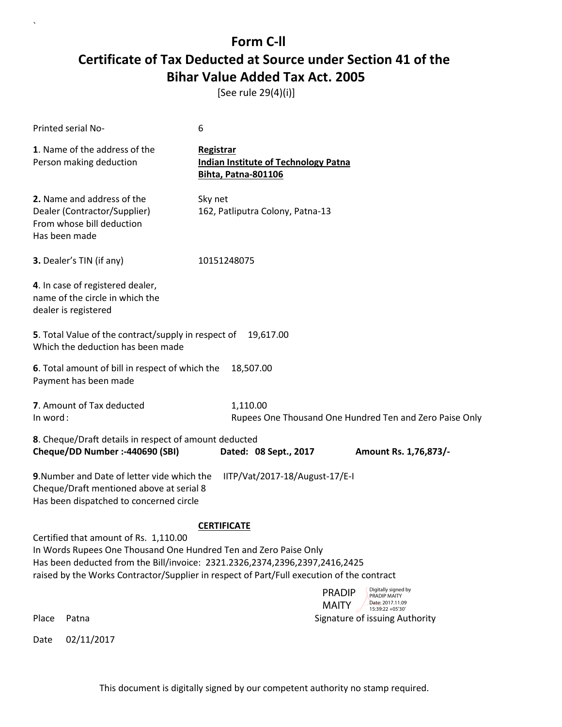[See rule 29(4)(i)]

|                                                                                                                                                                                                                                                                                       | <b>Printed serial No-</b>                                                                                                          | 6                                                                                      |                                                                        |
|---------------------------------------------------------------------------------------------------------------------------------------------------------------------------------------------------------------------------------------------------------------------------------------|------------------------------------------------------------------------------------------------------------------------------------|----------------------------------------------------------------------------------------|------------------------------------------------------------------------|
|                                                                                                                                                                                                                                                                                       | 1. Name of the address of the<br>Person making deduction                                                                           | Registrar<br><b>Indian Institute of Technology Patna</b><br><b>Bihta, Patna-801106</b> |                                                                        |
| Has been made                                                                                                                                                                                                                                                                         | 2. Name and address of the<br>Dealer (Contractor/Supplier)<br>From whose bill deduction                                            | Sky net<br>162, Patliputra Colony, Patna-13                                            |                                                                        |
|                                                                                                                                                                                                                                                                                       | 3. Dealer's TIN (if any)                                                                                                           | 10151248075                                                                            |                                                                        |
|                                                                                                                                                                                                                                                                                       | 4. In case of registered dealer,<br>name of the circle in which the<br>dealer is registered                                        |                                                                                        |                                                                        |
|                                                                                                                                                                                                                                                                                       | 5. Total Value of the contract/supply in respect of<br>Which the deduction has been made                                           | 19,617.00                                                                              |                                                                        |
|                                                                                                                                                                                                                                                                                       | 6. Total amount of bill in respect of which the<br>Payment has been made                                                           | 18,507.00                                                                              |                                                                        |
| In word:                                                                                                                                                                                                                                                                              | 7. Amount of Tax deducted                                                                                                          | 1,110.00                                                                               | Rupees One Thousand One Hundred Ten and Zero Paise Only                |
|                                                                                                                                                                                                                                                                                       | 8. Cheque/Draft details in respect of amount deducted<br>Cheque/DD Number :- 440690 (SBI)                                          | Dated: 08 Sept., 2017                                                                  | Amount Rs. 1,76,873/-                                                  |
|                                                                                                                                                                                                                                                                                       |                                                                                                                                    |                                                                                        |                                                                        |
|                                                                                                                                                                                                                                                                                       | 9. Number and Date of letter vide which the<br>Cheque/Draft mentioned above at serial 8<br>Has been dispatched to concerned circle | IITP/Vat/2017-18/August-17/E-I                                                         |                                                                        |
|                                                                                                                                                                                                                                                                                       |                                                                                                                                    | <b>CERTIFICATE</b>                                                                     |                                                                        |
| Certified that amount of Rs. 1,110.00<br>In Words Rupees One Thousand One Hundred Ten and Zero Paise Only<br>Has been deducted from the Bill/invoice: 2321.2326,2374,2396,2397,2416,2425<br>raised by the Works Contractor/Supplier in respect of Part/Full execution of the contract |                                                                                                                                    |                                                                                        |                                                                        |
|                                                                                                                                                                                                                                                                                       |                                                                                                                                    | <b>PRADIP</b>                                                                          | Digitally signed by<br><b>PRADIP MAITY</b>                             |
| Place                                                                                                                                                                                                                                                                                 | Patna                                                                                                                              | <b>MAITY</b>                                                                           | Date: 2017.11.09<br>15:39:22 +05'30'<br>Signature of issuing Authority |
| Date                                                                                                                                                                                                                                                                                  | 02/11/2017                                                                                                                         |                                                                                        |                                                                        |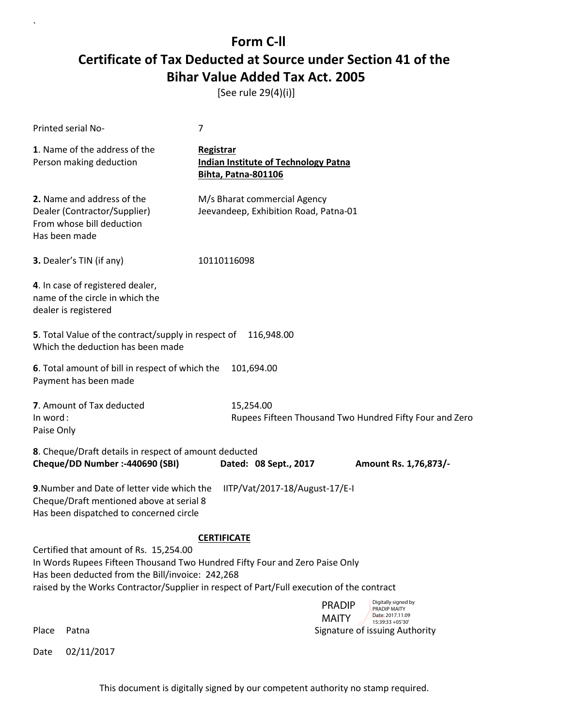[See rule 29(4)(i)]

| Printed serial No-                                                                                                                 | 7                                                                                                                                                                        |  |
|------------------------------------------------------------------------------------------------------------------------------------|--------------------------------------------------------------------------------------------------------------------------------------------------------------------------|--|
| 1. Name of the address of the<br>Person making deduction                                                                           | <b>Registrar</b><br><b>Indian Institute of Technology Patna</b><br><b>Bihta, Patna-801106</b>                                                                            |  |
| 2. Name and address of the<br>Dealer (Contractor/Supplier)<br>From whose bill deduction<br>Has been made                           | M/s Bharat commercial Agency<br>Jeevandeep, Exhibition Road, Patna-01                                                                                                    |  |
| 3. Dealer's TIN (if any)                                                                                                           | 10110116098                                                                                                                                                              |  |
| 4. In case of registered dealer,<br>name of the circle in which the<br>dealer is registered                                        |                                                                                                                                                                          |  |
| 5. Total Value of the contract/supply in respect of<br>Which the deduction has been made                                           | 116,948.00                                                                                                                                                               |  |
| 6. Total amount of bill in respect of which the<br>Payment has been made                                                           | 101,694.00                                                                                                                                                               |  |
| 7. Amount of Tax deducted<br>In word:<br>Paise Only                                                                                | 15,254.00<br>Rupees Fifteen Thousand Two Hundred Fifty Four and Zero                                                                                                     |  |
| 8. Cheque/Draft details in respect of amount deducted<br>Cheque/DD Number :- 440690 (SBI)                                          | Dated: 08 Sept., 2017<br>Amount Rs. 1,76,873/-                                                                                                                           |  |
| 9. Number and Date of letter vide which the<br>Cheque/Draft mentioned above at serial 8<br>Has been dispatched to concerned circle | IITP/Vat/2017-18/August-17/E-I                                                                                                                                           |  |
|                                                                                                                                    | <b>CERTIFICATE</b>                                                                                                                                                       |  |
| Certified that amount of Rs. 15,254.00<br>Has been deducted from the Bill/invoice: 242,268                                         | In Words Rupees Fifteen Thousand Two Hundred Fifty Four and Zero Paise Only<br>raised by the Works Contractor/Supplier in respect of Part/Full execution of the contract |  |
| Place<br>Patna                                                                                                                     | Digitally signed by<br><b>PRADIP</b><br><b>PRADIP MAITY</b><br>Date: 2017.11.09<br><b>MAITY</b><br>15:39:33 +05'30'<br>Signature of issuing Authority                    |  |

Date 02/11/2017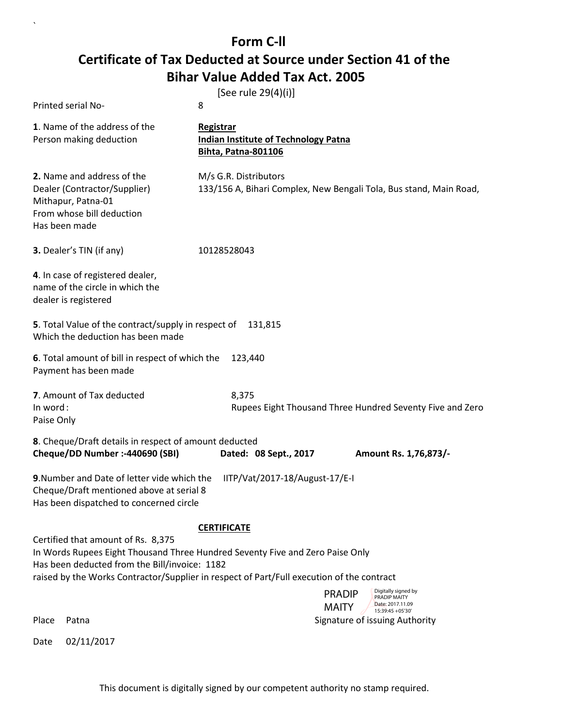`

|                                                                                                                                    | [See rule 29(4)(i)]                                                                                                                                                        |
|------------------------------------------------------------------------------------------------------------------------------------|----------------------------------------------------------------------------------------------------------------------------------------------------------------------------|
| <b>Printed serial No-</b>                                                                                                          | 8                                                                                                                                                                          |
| 1. Name of the address of the<br>Person making deduction                                                                           | Registrar<br><b>Indian Institute of Technology Patna</b><br>Bihta, Patna-801106                                                                                            |
| 2. Name and address of the<br>Dealer (Contractor/Supplier)<br>Mithapur, Patna-01<br>From whose bill deduction<br>Has been made     | M/s G.R. Distributors<br>133/156 A, Bihari Complex, New Bengali Tola, Bus stand, Main Road,                                                                                |
| 3. Dealer's TIN (if any)                                                                                                           | 10128528043                                                                                                                                                                |
| 4. In case of registered dealer,<br>name of the circle in which the<br>dealer is registered                                        |                                                                                                                                                                            |
| 5. Total Value of the contract/supply in respect of<br>Which the deduction has been made                                           | 131,815                                                                                                                                                                    |
| 6. Total amount of bill in respect of which the<br>Payment has been made                                                           | 123,440                                                                                                                                                                    |
| 7. Amount of Tax deducted<br>In word:<br>Paise Only                                                                                | 8,375<br>Rupees Eight Thousand Three Hundred Seventy Five and Zero                                                                                                         |
| 8. Cheque/Draft details in respect of amount deducted<br>Cheque/DD Number :- 440690 (SBI)                                          | Dated: 08 Sept., 2017<br>Amount Rs. 1,76,873/-                                                                                                                             |
| 9. Number and Date of letter vide which the<br>Cheque/Draft mentioned above at serial 8<br>Has been dispatched to concerned circle | IITP/Vat/2017-18/August-17/E-I                                                                                                                                             |
|                                                                                                                                    | <b>CERTIFICATE</b>                                                                                                                                                         |
| Certified that amount of Rs. 8,375<br>Has been deducted from the Bill/invoice: 1182                                                | In Words Rupees Eight Thousand Three Hundred Seventy Five and Zero Paise Only<br>raised by the Works Contractor/Supplier in respect of Part/Full execution of the contract |
|                                                                                                                                    | Digitally signed by<br><b>PRADIP</b><br>PRADIP MAITY                                                                                                                       |
|                                                                                                                                    | Date: 2017.11.09<br><b>MAITY</b><br>15:39:45 +05'30"                                                                                                                       |
| Place<br>Patna                                                                                                                     | Signature of issuing Authority                                                                                                                                             |
| 02/11/2017<br>Date                                                                                                                 |                                                                                                                                                                            |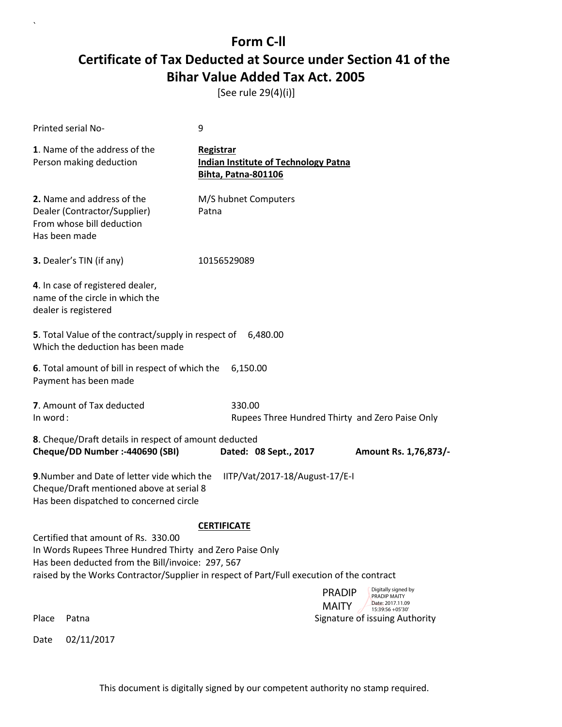[See rule 29(4)(i)]

|          | <b>Printed serial No-</b>                                                                                                                                                                                                                         | 9                                                                                      |                                                                          |
|----------|---------------------------------------------------------------------------------------------------------------------------------------------------------------------------------------------------------------------------------------------------|----------------------------------------------------------------------------------------|--------------------------------------------------------------------------|
|          | 1. Name of the address of the<br>Person making deduction                                                                                                                                                                                          | Registrar<br><b>Indian Institute of Technology Patna</b><br><b>Bihta, Patna-801106</b> |                                                                          |
|          | 2. Name and address of the<br>Dealer (Contractor/Supplier)<br>From whose bill deduction<br>Has been made                                                                                                                                          | M/S hubnet Computers<br>Patna                                                          |                                                                          |
|          | 3. Dealer's TIN (if any)                                                                                                                                                                                                                          | 10156529089                                                                            |                                                                          |
|          | 4. In case of registered dealer,<br>name of the circle in which the<br>dealer is registered                                                                                                                                                       |                                                                                        |                                                                          |
|          | 5. Total Value of the contract/supply in respect of 6,480.00<br>Which the deduction has been made                                                                                                                                                 |                                                                                        |                                                                          |
|          | 6. Total amount of bill in respect of which the<br>Payment has been made                                                                                                                                                                          | 6,150.00                                                                               |                                                                          |
| In word: | 7. Amount of Tax deducted                                                                                                                                                                                                                         | 330.00                                                                                 | Rupees Three Hundred Thirty and Zero Paise Only                          |
|          | 8. Cheque/Draft details in respect of amount deducted<br>Cheque/DD Number :- 440690 (SBI)                                                                                                                                                         | Dated: 08 Sept., 2017                                                                  | Amount Rs. 1,76,873/-                                                    |
|          | 9. Number and Date of letter vide which the<br>Cheque/Draft mentioned above at serial 8<br>Has been dispatched to concerned circle                                                                                                                | IITP/Vat/2017-18/August-17/E-I                                                         |                                                                          |
|          | Certified that amount of Rs. 330.00<br>In Words Rupees Three Hundred Thirty and Zero Paise Only<br>Has been deducted from the Bill/invoice: 297, 567<br>raised by the Works Contractor/Supplier in respect of Part/Full execution of the contract | <b>CERTIFICATE</b>                                                                     |                                                                          |
|          |                                                                                                                                                                                                                                                   |                                                                                        | Digitally signed by<br><b>PRADIP</b><br>PRADIP MAITY<br>Date: 2017.11.09 |
| Place    | Patna                                                                                                                                                                                                                                             |                                                                                        | <b>MAITY</b><br>15:39:56 +05'30'<br>Signature of issuing Authority       |
| Date     | 02/11/2017                                                                                                                                                                                                                                        |                                                                                        |                                                                          |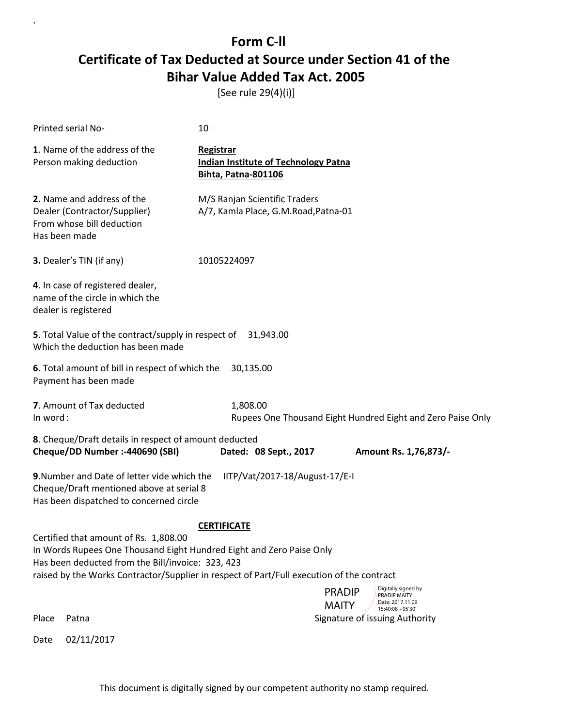[See rule 29(4)(i)]

| Printed serial No-                                                                                                                                                                                                                                                                    | 10                                                                                                           |  |  |
|---------------------------------------------------------------------------------------------------------------------------------------------------------------------------------------------------------------------------------------------------------------------------------------|--------------------------------------------------------------------------------------------------------------|--|--|
| 1. Name of the address of the<br>Person making deduction                                                                                                                                                                                                                              | Registrar<br><b>Indian Institute of Technology Patna</b><br><b>Bihta, Patna-801106</b>                       |  |  |
| 2. Name and address of the<br>Dealer (Contractor/Supplier)<br>From whose bill deduction<br>Has been made                                                                                                                                                                              | M/S Ranjan Scientific Traders<br>A/7, Kamla Place, G.M.Road, Patna-01                                        |  |  |
| 3. Dealer's TIN (if any)                                                                                                                                                                                                                                                              | 10105224097                                                                                                  |  |  |
| 4. In case of registered dealer,<br>name of the circle in which the<br>dealer is registered                                                                                                                                                                                           |                                                                                                              |  |  |
| 5. Total Value of the contract/supply in respect of<br>Which the deduction has been made                                                                                                                                                                                              | 31,943.00                                                                                                    |  |  |
| 6. Total amount of bill in respect of which the<br>Payment has been made                                                                                                                                                                                                              | 30,135.00                                                                                                    |  |  |
| 7. Amount of Tax deducted<br>In word:                                                                                                                                                                                                                                                 | 1,808.00<br>Rupees One Thousand Eight Hundred Eight and Zero Paise Only                                      |  |  |
| 8. Cheque/Draft details in respect of amount deducted<br>Cheque/DD Number :- 440690 (SBI)<br>Dated: 08 Sept., 2017<br>Amount Rs. 1,76,873/-                                                                                                                                           |                                                                                                              |  |  |
| 9. Number and Date of letter vide which the<br>IITP/Vat/2017-18/August-17/E-I<br>Cheque/Draft mentioned above at serial 8<br>Has been dispatched to concerned circle                                                                                                                  |                                                                                                              |  |  |
| <b>CERTIFICATE</b><br>Certified that amount of Rs. 1,808.00<br>In Words Rupees One Thousand Eight Hundred Eight and Zero Paise Only<br>Has been deducted from the Bill/invoice: 323, 423<br>raised by the Works Contractor/Supplier in respect of Part/Full execution of the contract |                                                                                                              |  |  |
|                                                                                                                                                                                                                                                                                       | Digitally signed by<br><b>PRADIP</b><br>PRADIP MAITY<br>Date: 2017.11.09<br><b>MAITY</b><br>15:40:08 +05'30' |  |  |
| Place<br>Patna                                                                                                                                                                                                                                                                        | Signature of issuing Authority                                                                               |  |  |
| 02/11/2017<br>Date                                                                                                                                                                                                                                                                    |                                                                                                              |  |  |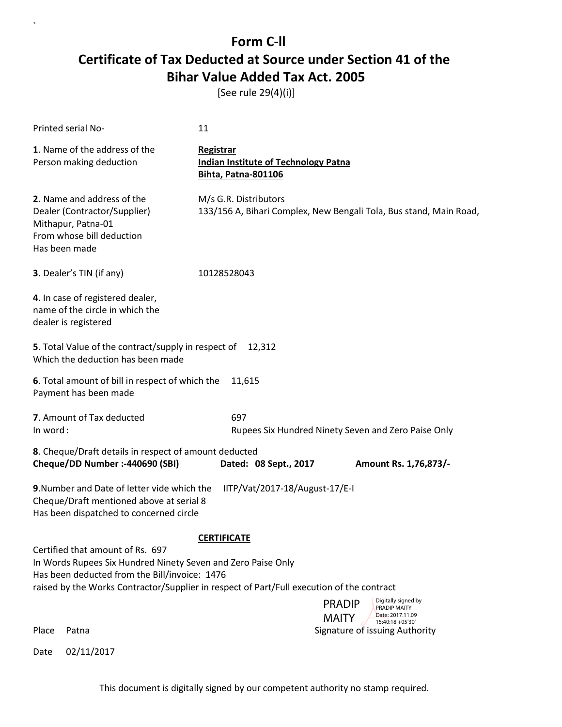[See rule 29(4)(i)]

| <b>Printed serial No-</b>                                                                                                                         | 11                                                                                                                                                                             |
|---------------------------------------------------------------------------------------------------------------------------------------------------|--------------------------------------------------------------------------------------------------------------------------------------------------------------------------------|
| 1. Name of the address of the<br>Person making deduction                                                                                          | Registrar<br><b>Indian Institute of Technology Patna</b><br><b>Bihta, Patna-801106</b>                                                                                         |
| 2. Name and address of the<br>Dealer (Contractor/Supplier)<br>Mithapur, Patna-01<br>From whose bill deduction<br>Has been made                    | M/s G.R. Distributors<br>133/156 A, Bihari Complex, New Bengali Tola, Bus stand, Main Road,                                                                                    |
| 3. Dealer's TIN (if any)                                                                                                                          | 10128528043                                                                                                                                                                    |
| 4. In case of registered dealer,<br>name of the circle in which the<br>dealer is registered                                                       |                                                                                                                                                                                |
| 5. Total Value of the contract/supply in respect of<br>Which the deduction has been made                                                          | 12,312                                                                                                                                                                         |
| 6. Total amount of bill in respect of which the<br>Payment has been made                                                                          | 11,615                                                                                                                                                                         |
| 7. Amount of Tax deducted<br>In word:                                                                                                             | 697<br>Rupees Six Hundred Ninety Seven and Zero Paise Only                                                                                                                     |
| 8. Cheque/Draft details in respect of amount deducted<br>Cheque/DD Number :- 440690 (SBI)                                                         | Dated: 08 Sept., 2017<br>Amount Rs. 1,76,873/-                                                                                                                                 |
| 9. Number and Date of letter vide which the<br>Cheque/Draft mentioned above at serial 8<br>Has been dispatched to concerned circle                | IITP/Vat/2017-18/August-17/E-I                                                                                                                                                 |
| Certified that amount of Rs. 697<br>In Words Rupees Six Hundred Ninety Seven and Zero Paise Only<br>Has been deducted from the Bill/invoice: 1476 | <b>CERTIFICATE</b><br>raised by the Works Contractor/Supplier in respect of Part/Full execution of the contract<br>Digitally signed by<br><b>PRADIP</b><br><b>PRADIP MAITY</b> |
| Place<br>Patna                                                                                                                                    | Date: 2017.11.09<br><b>MAITY</b><br>15:40:18 +05'30'<br>Signature of issuing Authority                                                                                         |
| 02/11/2017<br>Date                                                                                                                                |                                                                                                                                                                                |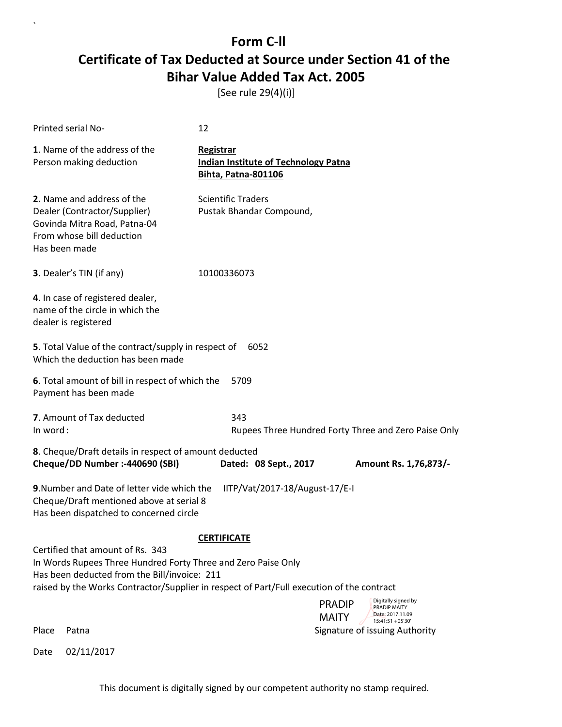[See rule 29(4)(i)]

| Printed serial No-                                                                                                                                                                                                                             | 12                                                                                     |                                                                                          |  |  |
|------------------------------------------------------------------------------------------------------------------------------------------------------------------------------------------------------------------------------------------------|----------------------------------------------------------------------------------------|------------------------------------------------------------------------------------------|--|--|
| 1. Name of the address of the<br>Person making deduction                                                                                                                                                                                       | Registrar<br><b>Indian Institute of Technology Patna</b><br><b>Bihta, Patna-801106</b> |                                                                                          |  |  |
| 2. Name and address of the<br>Dealer (Contractor/Supplier)<br>Govinda Mitra Road, Patna-04<br>From whose bill deduction<br>Has been made                                                                                                       | <b>Scientific Traders</b><br>Pustak Bhandar Compound,                                  |                                                                                          |  |  |
| 3. Dealer's TIN (if any)                                                                                                                                                                                                                       | 10100336073                                                                            |                                                                                          |  |  |
| 4. In case of registered dealer,<br>name of the circle in which the<br>dealer is registered                                                                                                                                                    |                                                                                        |                                                                                          |  |  |
| 5. Total Value of the contract/supply in respect of<br>6052<br>Which the deduction has been made                                                                                                                                               |                                                                                        |                                                                                          |  |  |
| 6. Total amount of bill in respect of which the<br>Payment has been made                                                                                                                                                                       | 5709                                                                                   |                                                                                          |  |  |
| 7. Amount of Tax deducted<br>In word:                                                                                                                                                                                                          | 343                                                                                    | Rupees Three Hundred Forty Three and Zero Paise Only                                     |  |  |
| 8. Cheque/Draft details in respect of amount deducted<br>Cheque/DD Number :- 440690 (SBI)<br>Dated: 08 Sept., 2017<br>Amount Rs. 1,76,873/-                                                                                                    |                                                                                        |                                                                                          |  |  |
| 9. Number and Date of letter vide which the<br>Cheque/Draft mentioned above at serial 8<br>Has been dispatched to concerned circle                                                                                                             | IITP/Vat/2017-18/August-17/E-I                                                         |                                                                                          |  |  |
| <b>CERTIFICATE</b>                                                                                                                                                                                                                             |                                                                                        |                                                                                          |  |  |
| Certified that amount of Rs. 343<br>In Words Rupees Three Hundred Forty Three and Zero Paise Only<br>Has been deducted from the Bill/invoice: 211<br>raised by the Works Contractor/Supplier in respect of Part/Full execution of the contract |                                                                                        |                                                                                          |  |  |
|                                                                                                                                                                                                                                                |                                                                                        | Digitally signed by<br><b>PRADIP</b><br>PRADIP MAITY<br>Date: 2017.11.09<br><b>MAITY</b> |  |  |
| Place<br>Patna                                                                                                                                                                                                                                 |                                                                                        | 15:41:51 +05'30'<br>Signature of issuing Authority                                       |  |  |
| 02/11/2017<br>Date                                                                                                                                                                                                                             |                                                                                        |                                                                                          |  |  |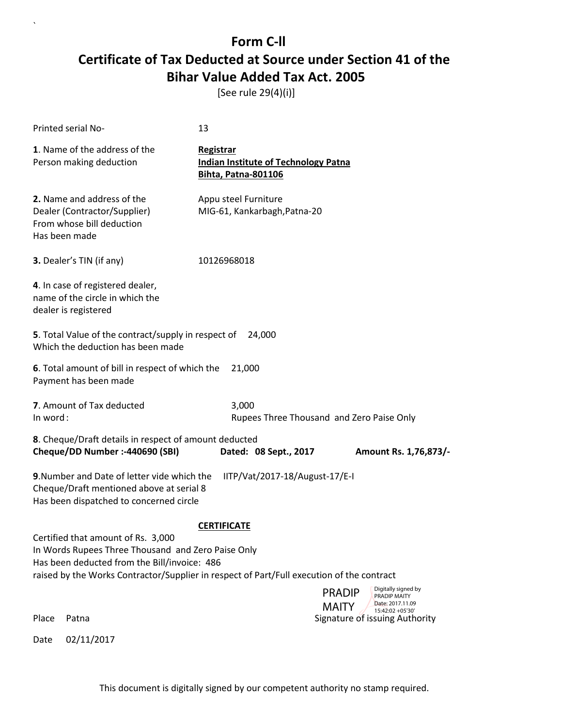[See rule 29(4)(i)]

|          | Printed serial No-                                                                                                                                                                                                                    | 13                                                                                     |                                                                                                                         |
|----------|---------------------------------------------------------------------------------------------------------------------------------------------------------------------------------------------------------------------------------------|----------------------------------------------------------------------------------------|-------------------------------------------------------------------------------------------------------------------------|
|          | 1. Name of the address of the<br>Person making deduction                                                                                                                                                                              | Registrar<br><b>Indian Institute of Technology Patna</b><br><b>Bihta, Patna-801106</b> |                                                                                                                         |
|          | 2. Name and address of the<br>Dealer (Contractor/Supplier)<br>From whose bill deduction<br>Has been made                                                                                                                              | Appu steel Furniture<br>MIG-61, Kankarbagh, Patna-20                                   |                                                                                                                         |
|          | 3. Dealer's TIN (if any)                                                                                                                                                                                                              | 10126968018                                                                            |                                                                                                                         |
|          | 4. In case of registered dealer,<br>name of the circle in which the<br>dealer is registered                                                                                                                                           |                                                                                        |                                                                                                                         |
|          | 5. Total Value of the contract/supply in respect of<br>Which the deduction has been made                                                                                                                                              | 24,000                                                                                 |                                                                                                                         |
|          | 6. Total amount of bill in respect of which the<br>Payment has been made                                                                                                                                                              | 21,000                                                                                 |                                                                                                                         |
| In word: | 7. Amount of Tax deducted                                                                                                                                                                                                             | 3,000                                                                                  | Rupees Three Thousand and Zero Paise Only                                                                               |
|          | 8. Cheque/Draft details in respect of amount deducted<br>Cheque/DD Number :- 440690 (SBI)                                                                                                                                             | Dated: 08 Sept., 2017                                                                  | Amount Rs. 1,76,873/-                                                                                                   |
|          | 9. Number and Date of letter vide which the<br>Cheque/Draft mentioned above at serial 8<br>Has been dispatched to concerned circle                                                                                                    | IITP/Vat/2017-18/August-17/E-I                                                         |                                                                                                                         |
|          | Certified that amount of Rs. 3,000<br>In Words Rupees Three Thousand and Zero Paise Only<br>Has been deducted from the Bill/invoice: 486<br>raised by the Works Contractor/Supplier in respect of Part/Full execution of the contract | <b>CERTIFICATE</b>                                                                     | Digitally signed by                                                                                                     |
| Place    | Patna                                                                                                                                                                                                                                 |                                                                                        | <b>PRADIP</b><br>PRADIP MAITY<br>Date: 2017.11.09<br><b>MAITY</b><br>15:42:02 +05'30'<br>Signature of issuing Authority |
| Date     | 02/11/2017                                                                                                                                                                                                                            |                                                                                        |                                                                                                                         |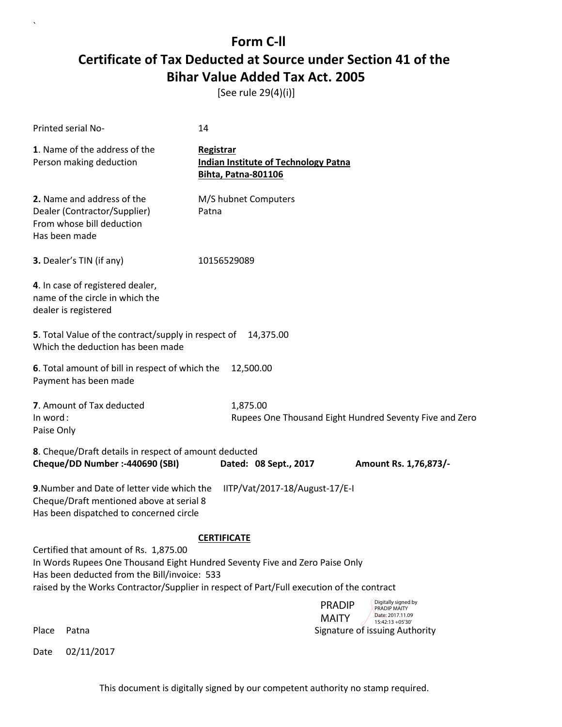[See rule 29(4)(i)]

| Printed serial No-                                                                                                                                                                                                                                                | 14                                                                                                                                                    |  |  |
|-------------------------------------------------------------------------------------------------------------------------------------------------------------------------------------------------------------------------------------------------------------------|-------------------------------------------------------------------------------------------------------------------------------------------------------|--|--|
| 1. Name of the address of the<br>Person making deduction                                                                                                                                                                                                          | Registrar<br><b>Indian Institute of Technology Patna</b><br><b>Bihta, Patna-801106</b>                                                                |  |  |
| 2. Name and address of the<br>Dealer (Contractor/Supplier)<br>From whose bill deduction<br>Has been made                                                                                                                                                          | M/S hubnet Computers<br>Patna                                                                                                                         |  |  |
| 3. Dealer's TIN (if any)                                                                                                                                                                                                                                          | 10156529089                                                                                                                                           |  |  |
| 4. In case of registered dealer,<br>name of the circle in which the<br>dealer is registered                                                                                                                                                                       |                                                                                                                                                       |  |  |
| 5. Total Value of the contract/supply in respect of<br>Which the deduction has been made                                                                                                                                                                          | 14,375.00                                                                                                                                             |  |  |
| 6. Total amount of bill in respect of which the<br>12,500.00<br>Payment has been made                                                                                                                                                                             |                                                                                                                                                       |  |  |
| 7. Amount of Tax deducted<br>In word:<br>Paise Only                                                                                                                                                                                                               | 1,875.00<br>Rupees One Thousand Eight Hundred Seventy Five and Zero                                                                                   |  |  |
| 8. Cheque/Draft details in respect of amount deducted<br>Cheque/DD Number :- 440690 (SBI)<br>Dated: 08 Sept., 2017<br>Amount Rs. 1,76,873/-                                                                                                                       |                                                                                                                                                       |  |  |
| 9. Number and Date of letter vide which the<br>Cheque/Draft mentioned above at serial 8<br>Has been dispatched to concerned circle                                                                                                                                | IITP/Vat/2017-18/August-17/E-I                                                                                                                        |  |  |
|                                                                                                                                                                                                                                                                   | <b>CERTIFICATE</b>                                                                                                                                    |  |  |
| Certified that amount of Rs. 1,875.00<br>In Words Rupees One Thousand Eight Hundred Seventy Five and Zero Paise Only<br>Has been deducted from the Bill/invoice: 533<br>raised by the Works Contractor/Supplier in respect of Part/Full execution of the contract |                                                                                                                                                       |  |  |
| Place<br>Patna                                                                                                                                                                                                                                                    | Digitally signed by<br><b>PRADIP</b><br><b>PRADIP MAITY</b><br>Date: 2017.11.09<br><b>MAITY</b><br>15:42:13 +05'30'<br>Signature of issuing Authority |  |  |

Date 02/11/2017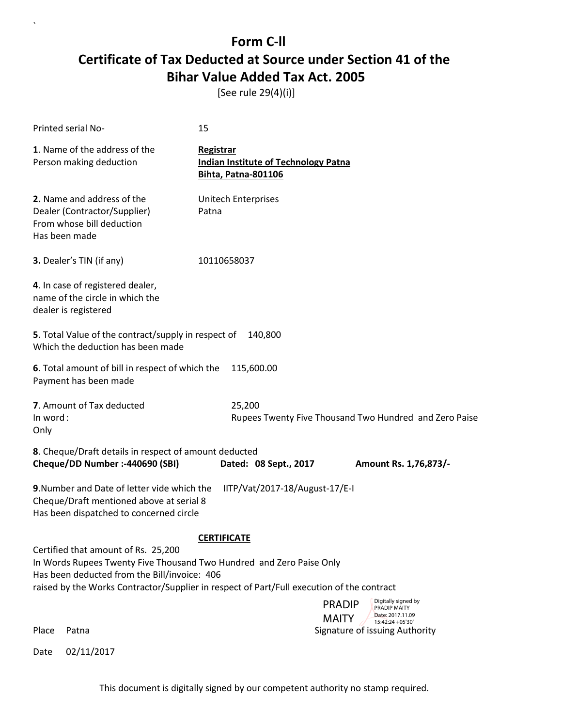[See rule 29(4)(i)]

| Printed serial No-                                                                                                                                          | 15                                                                                                                                             |
|-------------------------------------------------------------------------------------------------------------------------------------------------------------|------------------------------------------------------------------------------------------------------------------------------------------------|
| 1. Name of the address of the<br>Person making deduction                                                                                                    | Registrar<br><b>Indian Institute of Technology Patna</b><br><b>Bihta, Patna-801106</b>                                                         |
| 2. Name and address of the<br>Dealer (Contractor/Supplier)<br>From whose bill deduction<br>Has been made                                                    | <b>Unitech Enterprises</b><br>Patna                                                                                                            |
| 3. Dealer's TIN (if any)                                                                                                                                    | 10110658037                                                                                                                                    |
| 4. In case of registered dealer,<br>name of the circle in which the<br>dealer is registered                                                                 |                                                                                                                                                |
| 5. Total Value of the contract/supply in respect of<br>Which the deduction has been made                                                                    | 140,800                                                                                                                                        |
| 6. Total amount of bill in respect of which the<br>Payment has been made                                                                                    | 115,600.00                                                                                                                                     |
| 7. Amount of Tax deducted<br>In word:<br>Only                                                                                                               | 25,200<br>Rupees Twenty Five Thousand Two Hundred and Zero Paise                                                                               |
| 8. Cheque/Draft details in respect of amount deducted<br>Cheque/DD Number :- 440690 (SBI)                                                                   | Dated: 08 Sept., 2017<br>Amount Rs. 1,76,873/-                                                                                                 |
| 9. Number and Date of letter vide which the<br>Cheque/Draft mentioned above at serial 8<br>Has been dispatched to concerned circle                          | IITP/Vat/2017-18/August-17/E-I                                                                                                                 |
|                                                                                                                                                             | <b>CERTIFICATE</b>                                                                                                                             |
| Certified that amount of Rs. 25,200<br>In Words Rupees Twenty Five Thousand Two Hundred and Zero Paise Only<br>Has been deducted from the Bill/invoice: 406 | raised by the Works Contractor/Supplier in respect of Part/Full execution of the contract                                                      |
| Place<br>Patna                                                                                                                                              | Digitally signed by<br><b>PRADIP</b><br>PRADIP MAITY<br>Date: 2017.11.09<br><b>MAITY</b><br>15:42:24 +05'30'<br>Signature of issuing Authority |

Date 02/11/2017

 $\overline{\phantom{a}}$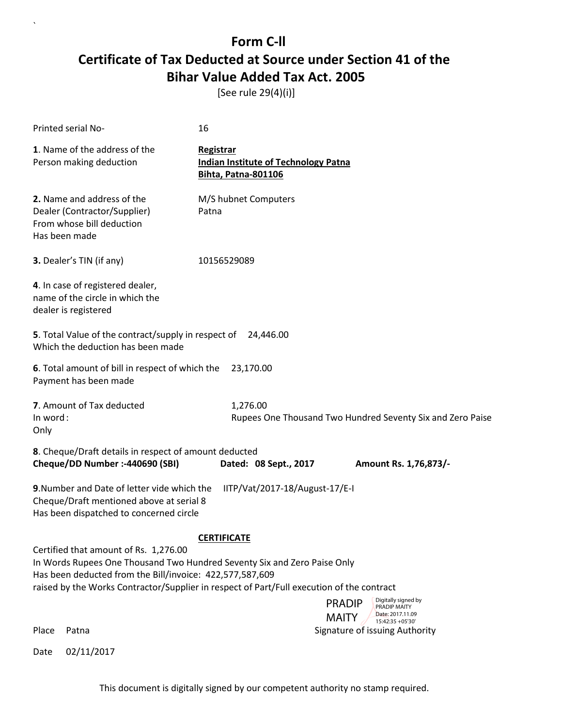[See rule 29(4)(i)]

| Printed serial No-                                                                                                                                                            | 16                                                                                                                                |  |  |
|-------------------------------------------------------------------------------------------------------------------------------------------------------------------------------|-----------------------------------------------------------------------------------------------------------------------------------|--|--|
| 1. Name of the address of the<br>Person making deduction                                                                                                                      | <b>Registrar</b><br><b>Indian Institute of Technology Patna</b><br><b>Bihta, Patna-801106</b>                                     |  |  |
| 2. Name and address of the<br>Dealer (Contractor/Supplier)<br>From whose bill deduction<br>Has been made                                                                      | M/S hubnet Computers<br>Patna                                                                                                     |  |  |
| 3. Dealer's TIN (if any)                                                                                                                                                      | 10156529089                                                                                                                       |  |  |
| 4. In case of registered dealer,<br>name of the circle in which the<br>dealer is registered                                                                                   |                                                                                                                                   |  |  |
| 5. Total Value of the contract/supply in respect of 24,446.00<br>Which the deduction has been made                                                                            |                                                                                                                                   |  |  |
| 6. Total amount of bill in respect of which the<br>Payment has been made                                                                                                      | 23,170.00                                                                                                                         |  |  |
| 7. Amount of Tax deducted<br>In word:<br>Only                                                                                                                                 | 1,276.00<br>Rupees One Thousand Two Hundred Seventy Six and Zero Paise                                                            |  |  |
| 8. Cheque/Draft details in respect of amount deducted<br>Cheque/DD Number :- 440690 (SBI)<br>Dated: 08 Sept., 2017<br>Amount Rs. 1,76,873/-                                   |                                                                                                                                   |  |  |
| 9. Number and Date of letter vide which the<br>Cheque/Draft mentioned above at serial 8<br>Has been dispatched to concerned circle                                            | IITP/Vat/2017-18/August-17/E-I                                                                                                    |  |  |
| <b>CERTIFICATE</b>                                                                                                                                                            |                                                                                                                                   |  |  |
| Certified that amount of Rs. 1,276.00<br>In Words Rupees One Thousand Two Hundred Seventy Six and Zero Paise Only<br>Has been deducted from the Bill/invoice: 422,577,587,609 |                                                                                                                                   |  |  |
|                                                                                                                                                                               | raised by the Works Contractor/Supplier in respect of Part/Full execution of the contract<br>Digitally signed by<br><b>PRADIP</b> |  |  |
|                                                                                                                                                                               | <b>PRADIP MAITY</b><br>Date: 2017.11.09<br><b>MAITY</b><br>15:42:35 +05'30'                                                       |  |  |
| Place<br>Patna                                                                                                                                                                | Signature of issuing Authority                                                                                                    |  |  |

Date 02/11/2017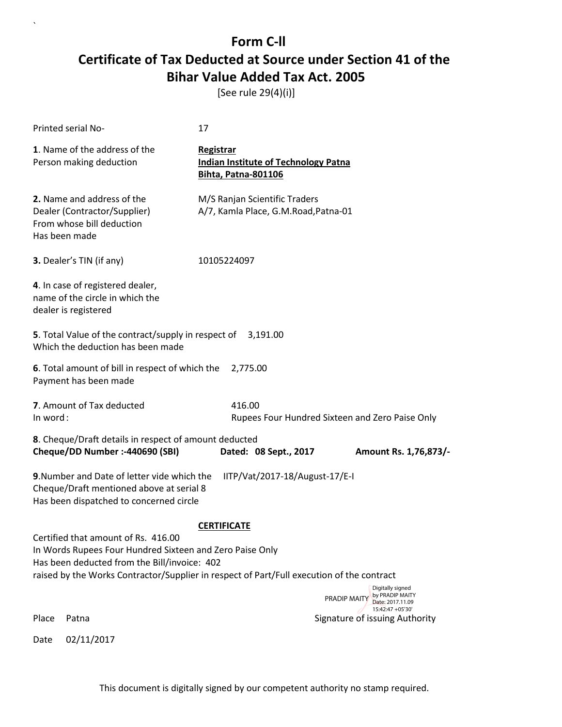[See rule 29(4)(i)]

| Printed serial No-                                                                                                                                                   | 17                                                                                                                                                                     |  |  |
|----------------------------------------------------------------------------------------------------------------------------------------------------------------------|------------------------------------------------------------------------------------------------------------------------------------------------------------------------|--|--|
| 1. Name of the address of the<br>Person making deduction                                                                                                             | Registrar<br><b>Indian Institute of Technology Patna</b><br><b>Bihta, Patna-801106</b>                                                                                 |  |  |
| 2. Name and address of the<br>Dealer (Contractor/Supplier)<br>From whose bill deduction<br>Has been made                                                             | M/S Ranjan Scientific Traders<br>A/7, Kamla Place, G.M.Road, Patna-01                                                                                                  |  |  |
| 3. Dealer's TIN (if any)                                                                                                                                             | 10105224097                                                                                                                                                            |  |  |
| 4. In case of registered dealer,<br>name of the circle in which the<br>dealer is registered                                                                          |                                                                                                                                                                        |  |  |
| 5. Total Value of the contract/supply in respect of<br>Which the deduction has been made                                                                             | 3,191.00                                                                                                                                                               |  |  |
| 6. Total amount of bill in respect of which the<br>2,775.00<br>Payment has been made                                                                                 |                                                                                                                                                                        |  |  |
| 7. Amount of Tax deducted<br>In word:                                                                                                                                | 416.00<br>Rupees Four Hundred Sixteen and Zero Paise Only                                                                                                              |  |  |
| 8. Cheque/Draft details in respect of amount deducted<br>Cheque/DD Number :- 440690 (SBI)<br>Dated: 08 Sept., 2017<br>Amount Rs. 1,76,873/-                          |                                                                                                                                                                        |  |  |
| 9. Number and Date of letter vide which the<br>IITP/Vat/2017-18/August-17/E-I<br>Cheque/Draft mentioned above at serial 8<br>Has been dispatched to concerned circle |                                                                                                                                                                        |  |  |
| Certified that amount of Rs. 416.00<br>In Words Rupees Four Hundred Sixteen and Zero Paise Only<br>Has been deducted from the Bill/invoice: 402                      | <b>CERTIFICATE</b><br>raised by the Works Contractor/Supplier in respect of Part/Full execution of the contract<br>Digitally signed<br>by PRADIP MAITY<br>PRADIP MAITY |  |  |
| Place<br>Patna                                                                                                                                                       | Date: 2017.11.09<br>15:42:47 +05'30'<br>Signature of issuing Authority                                                                                                 |  |  |
| 02/11/2017<br>Date                                                                                                                                                   |                                                                                                                                                                        |  |  |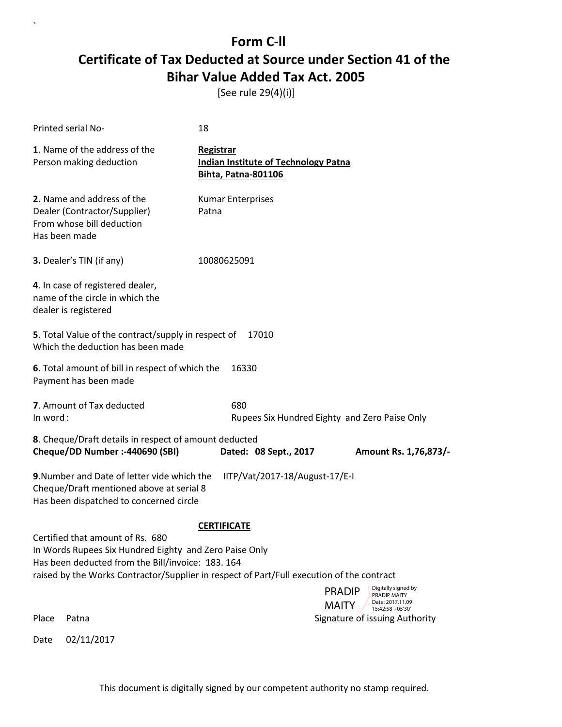[See rule 29(4)(i)]

| Printed serial No-                                                                                                                                                                                                                          | 18                                                                                     |                                                                          |
|---------------------------------------------------------------------------------------------------------------------------------------------------------------------------------------------------------------------------------------------|----------------------------------------------------------------------------------------|--------------------------------------------------------------------------|
| 1. Name of the address of the<br>Person making deduction                                                                                                                                                                                    | Registrar<br><b>Indian Institute of Technology Patna</b><br><b>Bihta, Patna-801106</b> |                                                                          |
| 2. Name and address of the<br>Dealer (Contractor/Supplier)<br>From whose bill deduction<br>Has been made                                                                                                                                    | <b>Kumar Enterprises</b><br>Patna                                                      |                                                                          |
| 3. Dealer's TIN (if any)                                                                                                                                                                                                                    | 10080625091                                                                            |                                                                          |
| 4. In case of registered dealer,<br>name of the circle in which the<br>dealer is registered                                                                                                                                                 |                                                                                        |                                                                          |
| 5. Total Value of the contract/supply in respect of<br>Which the deduction has been made                                                                                                                                                    | 17010                                                                                  |                                                                          |
| 6. Total amount of bill in respect of which the<br>Payment has been made                                                                                                                                                                    | 16330                                                                                  |                                                                          |
| 7. Amount of Tax deducted<br>In word:                                                                                                                                                                                                       | 680                                                                                    | Rupees Six Hundred Eighty and Zero Paise Only                            |
| 8. Cheque/Draft details in respect of amount deducted<br>Cheque/DD Number :- 440690 (SBI)                                                                                                                                                   | Dated: 08 Sept., 2017                                                                  | Amount Rs. 1,76,873/-                                                    |
| 9. Number and Date of letter vide which the<br>Cheque/Draft mentioned above at serial 8<br>Has been dispatched to concerned circle                                                                                                          | IITP/Vat/2017-18/August-17/E-I                                                         |                                                                          |
|                                                                                                                                                                                                                                             | <b>CERTIFICATE</b>                                                                     |                                                                          |
| Certified that amount of Rs. 680<br>In Words Rupees Six Hundred Eighty and Zero Paise Only<br>Has been deducted from the Bill/invoice: 183.164<br>raised by the Works Contractor/Supplier in respect of Part/Full execution of the contract |                                                                                        |                                                                          |
|                                                                                                                                                                                                                                             |                                                                                        | Digitally signed by<br><b>PRADIP</b><br>PRADIP MAITY<br>Date: 2017.11.09 |
| Place<br>Patna                                                                                                                                                                                                                              |                                                                                        | <b>MAITY</b><br>15:42:58 +05'30'<br>Signature of issuing Authority       |
| 02/11/2017<br>Date                                                                                                                                                                                                                          |                                                                                        |                                                                          |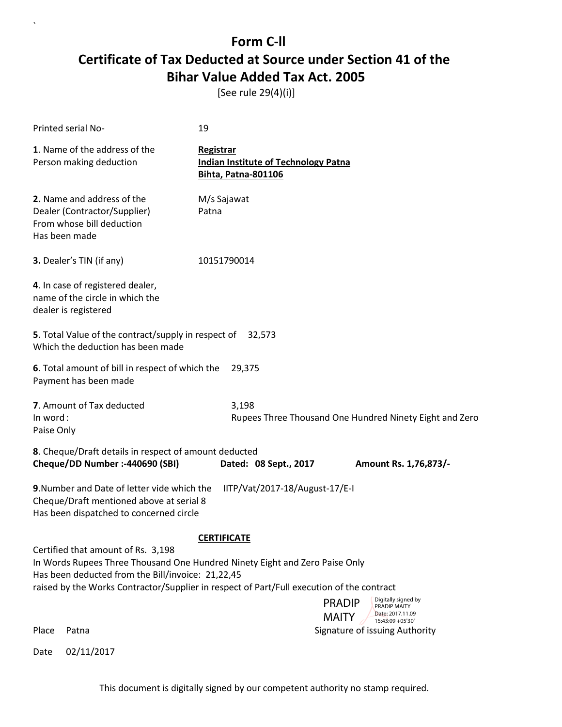[See rule 29(4)(i)]

| Printed serial No-                                                                                                                                                                                                                                                                                                                                                                    | 19                                                                                     |  |  |
|---------------------------------------------------------------------------------------------------------------------------------------------------------------------------------------------------------------------------------------------------------------------------------------------------------------------------------------------------------------------------------------|----------------------------------------------------------------------------------------|--|--|
| 1. Name of the address of the<br>Person making deduction                                                                                                                                                                                                                                                                                                                              | Registrar<br><b>Indian Institute of Technology Patna</b><br><b>Bihta, Patna-801106</b> |  |  |
| 2. Name and address of the<br>Dealer (Contractor/Supplier)<br>From whose bill deduction<br>Has been made                                                                                                                                                                                                                                                                              | M/s Sajawat<br>Patna                                                                   |  |  |
| 3. Dealer's TIN (if any)                                                                                                                                                                                                                                                                                                                                                              | 10151790014                                                                            |  |  |
| 4. In case of registered dealer,<br>name of the circle in which the<br>dealer is registered                                                                                                                                                                                                                                                                                           |                                                                                        |  |  |
| 5. Total Value of the contract/supply in respect of 32,573<br>Which the deduction has been made                                                                                                                                                                                                                                                                                       |                                                                                        |  |  |
| 6. Total amount of bill in respect of which the<br>29,375<br>Payment has been made                                                                                                                                                                                                                                                                                                    |                                                                                        |  |  |
| 7. Amount of Tax deducted<br>In word:<br>Paise Only                                                                                                                                                                                                                                                                                                                                   | 3,198<br>Rupees Three Thousand One Hundred Ninety Eight and Zero                       |  |  |
| 8. Cheque/Draft details in respect of amount deducted<br>Cheque/DD Number :- 440690 (SBI)<br>Dated: 08 Sept., 2017<br>Amount Rs. 1,76,873/-                                                                                                                                                                                                                                           |                                                                                        |  |  |
| 9. Number and Date of letter vide which the<br>IITP/Vat/2017-18/August-17/E-I<br>Cheque/Draft mentioned above at serial 8<br>Has been dispatched to concerned circle                                                                                                                                                                                                                  |                                                                                        |  |  |
| <b>CERTIFICATE</b><br>Certified that amount of Rs. 3,198<br>In Words Rupees Three Thousand One Hundred Ninety Eight and Zero Paise Only<br>Has been deducted from the Bill/invoice: 21,22,45<br>raised by the Works Contractor/Supplier in respect of Part/Full execution of the contract<br>Digitally signed by<br><b>PRADIP</b><br>PRADIP MAITY<br>Date: 2017.11.09<br><b>MAITY</b> |                                                                                        |  |  |
| Place<br>Patna                                                                                                                                                                                                                                                                                                                                                                        | 15:43:09 + 05'30'<br>Signature of issuing Authority                                    |  |  |

Date 02/11/2017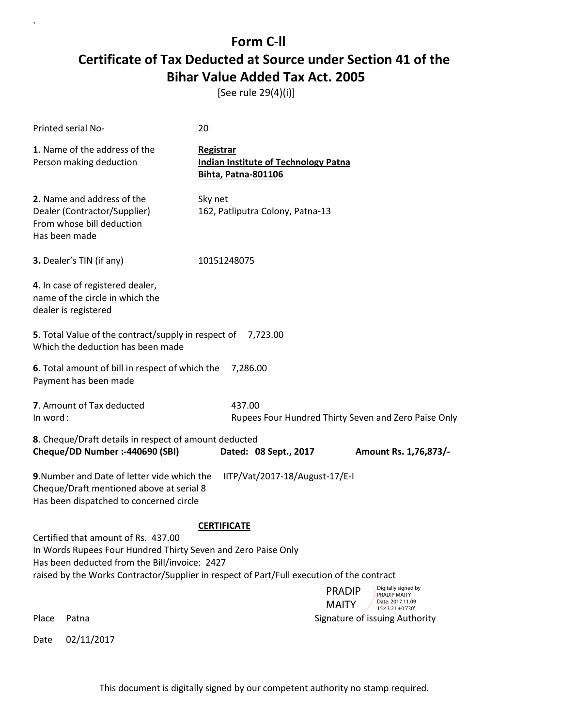[See rule 29(4)(i)]

| Printed serial No-                                                                                                                                                                                                                                 | 20                                                                                     |  |  |
|----------------------------------------------------------------------------------------------------------------------------------------------------------------------------------------------------------------------------------------------------|----------------------------------------------------------------------------------------|--|--|
| 1. Name of the address of the<br>Person making deduction                                                                                                                                                                                           | Registrar<br><b>Indian Institute of Technology Patna</b><br><b>Bihta, Patna-801106</b> |  |  |
| 2. Name and address of the<br>Dealer (Contractor/Supplier)<br>From whose bill deduction<br>Has been made                                                                                                                                           | Sky net<br>162, Patliputra Colony, Patna-13                                            |  |  |
| 3. Dealer's TIN (if any)                                                                                                                                                                                                                           | 10151248075                                                                            |  |  |
| 4. In case of registered dealer,<br>name of the circle in which the<br>dealer is registered                                                                                                                                                        |                                                                                        |  |  |
| <b>5</b> . Total Value of the contract/supply in respect of<br>Which the deduction has been made                                                                                                                                                   | 7,723.00                                                                               |  |  |
| 6. Total amount of bill in respect of which the<br>7,286.00<br>Payment has been made                                                                                                                                                               |                                                                                        |  |  |
| 7. Amount of Tax deducted<br>In word:                                                                                                                                                                                                              | 437.00<br>Rupees Four Hundred Thirty Seven and Zero Paise Only                         |  |  |
| 8. Cheque/Draft details in respect of amount deducted<br>Cheque/DD Number :- 440690 (SBI)<br>Dated: 08 Sept., 2017<br>Amount Rs. 1,76,873/-                                                                                                        |                                                                                        |  |  |
| 9. Number and Date of letter vide which the<br>IITP/Vat/2017-18/August-17/E-I<br>Cheque/Draft mentioned above at serial 8<br>Has been dispatched to concerned circle                                                                               |                                                                                        |  |  |
| <b>CERTIFICATE</b>                                                                                                                                                                                                                                 |                                                                                        |  |  |
| Certified that amount of Rs. 437.00<br>In Words Rupees Four Hundred Thirty Seven and Zero Paise Only<br>Has been deducted from the Bill/invoice: 2427<br>raised by the Works Contractor/Supplier in respect of Part/Full execution of the contract |                                                                                        |  |  |
|                                                                                                                                                                                                                                                    | Digitally signed by<br><b>PRADIP</b><br>PRADIP MAITY<br>Date: 2017.11.09               |  |  |
| Place<br>Patna                                                                                                                                                                                                                                     | <b>MAITY</b><br>15:43:21 +05'30'<br>Signature of issuing Authority                     |  |  |
| 02/11/2017<br>Date                                                                                                                                                                                                                                 |                                                                                        |  |  |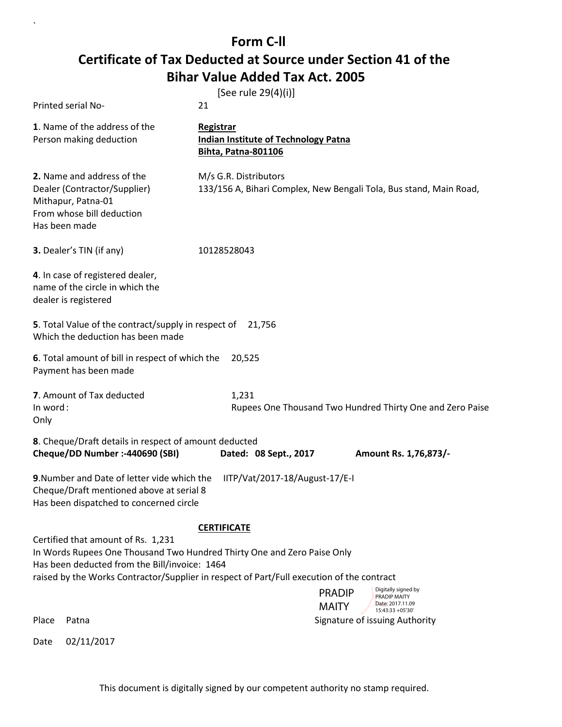`

| Printed serial No-                                                                                                                                             | [See rule 29(4)(i)]<br>21                                                                   |
|----------------------------------------------------------------------------------------------------------------------------------------------------------------|---------------------------------------------------------------------------------------------|
| 1. Name of the address of the<br>Person making deduction                                                                                                       | Registrar<br><b>Indian Institute of Technology Patna</b><br>Bihta, Patna-801106             |
| 2. Name and address of the<br>Dealer (Contractor/Supplier)<br>Mithapur, Patna-01<br>From whose bill deduction<br>Has been made                                 | M/s G.R. Distributors<br>133/156 A, Bihari Complex, New Bengali Tola, Bus stand, Main Road, |
| 3. Dealer's TIN (if any)                                                                                                                                       | 10128528043                                                                                 |
| 4. In case of registered dealer,<br>name of the circle in which the<br>dealer is registered                                                                    |                                                                                             |
| 5. Total Value of the contract/supply in respect of<br>Which the deduction has been made                                                                       | 21,756                                                                                      |
| 6. Total amount of bill in respect of which the<br>Payment has been made                                                                                       | 20,525                                                                                      |
| 7. Amount of Tax deducted<br>In word:<br>Only                                                                                                                  | 1,231<br>Rupees One Thousand Two Hundred Thirty One and Zero Paise                          |
| 8. Cheque/Draft details in respect of amount deducted<br>Cheque/DD Number :- 440690 (SBI)                                                                      | Dated: 08 Sept., 2017<br>Amount Rs. 1,76,873/-                                              |
| 9. Number and Date of letter vide which the<br>Cheque/Draft mentioned above at serial 8<br>Has been dispatched to concerned circle                             | IITP/Vat/2017-18/August-17/E-I                                                              |
|                                                                                                                                                                | <b>CERTIFICATE</b>                                                                          |
| Certified that amount of Rs. 1,231<br>In Words Rupees One Thousand Two Hundred Thirty One and Zero Paise Only<br>Has been deducted from the Bill/invoice: 1464 | raised by the Works Contractor/Supplier in respect of Part/Full execution of the contract   |
|                                                                                                                                                                | Digitally signed by<br><b>PRADIP</b><br>PRADIP MAITY<br>Date: 2017.11.09                    |
| Place<br>Patna                                                                                                                                                 | <b>MAITY</b><br>15:43:33 +05'30'<br>Signature of issuing Authority                          |
| 02/11/2017<br>Date                                                                                                                                             |                                                                                             |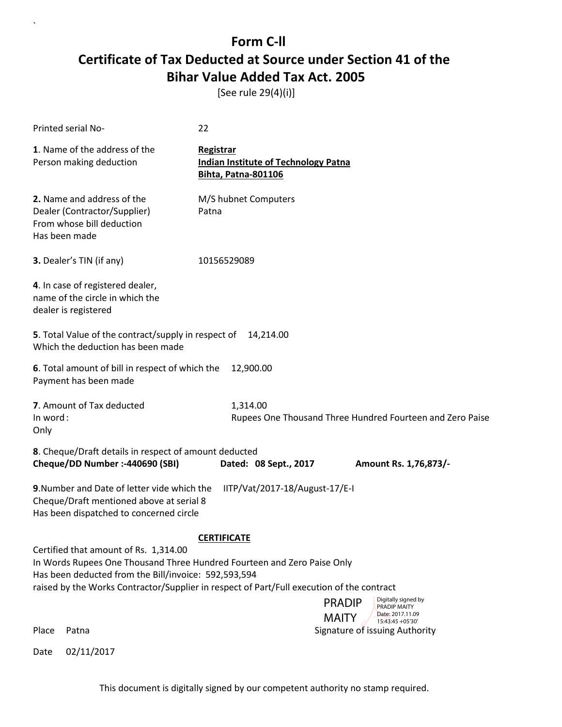[See rule 29(4)(i)]

| Printed serial No-                                                                                                                                                       | 22                                                                              |                                                                      |  |
|--------------------------------------------------------------------------------------------------------------------------------------------------------------------------|---------------------------------------------------------------------------------|----------------------------------------------------------------------|--|
| 1. Name of the address of the<br>Person making deduction                                                                                                                 | Registrar<br><b>Indian Institute of Technology Patna</b><br>Bihta, Patna-801106 |                                                                      |  |
| 2. Name and address of the<br>Dealer (Contractor/Supplier)<br>From whose bill deduction<br>Has been made                                                                 | M/S hubnet Computers<br>Patna                                                   |                                                                      |  |
| 3. Dealer's TIN (if any)                                                                                                                                                 | 10156529089                                                                     |                                                                      |  |
| 4. In case of registered dealer,<br>name of the circle in which the<br>dealer is registered                                                                              |                                                                                 |                                                                      |  |
| 5. Total Value of the contract/supply in respect of 14,214.00<br>Which the deduction has been made                                                                       |                                                                                 |                                                                      |  |
| 6. Total amount of bill in respect of which the<br>Payment has been made                                                                                                 | 12,900.00                                                                       |                                                                      |  |
| 7. Amount of Tax deducted<br>In word:<br>Only                                                                                                                            | 1,314.00                                                                        | Rupees One Thousand Three Hundred Fourteen and Zero Paise            |  |
| 8. Cheque/Draft details in respect of amount deducted<br>Cheque/DD Number :- 440690 (SBI)                                                                                | Dated: 08 Sept., 2017                                                           | Amount Rs. 1,76,873/-                                                |  |
| 9. Number and Date of letter vide which the<br>Cheque/Draft mentioned above at serial 8<br>Has been dispatched to concerned circle                                       | IITP/Vat/2017-18/August-17/E-I                                                  |                                                                      |  |
|                                                                                                                                                                          | <b>CERTIFICATE</b>                                                              |                                                                      |  |
| Certified that amount of Rs. 1,314.00<br>In Words Rupees One Thousand Three Hundred Fourteen and Zero Paise Only<br>Has been deducted from the Bill/invoice: 592,593,594 |                                                                                 |                                                                      |  |
| raised by the Works Contractor/Supplier in respect of Part/Full execution of the contract                                                                                |                                                                                 | Digitally signed by<br><b>PRADIP</b>                                 |  |
|                                                                                                                                                                          |                                                                                 | PRADIP MAITY<br>Date: 2017.11.09<br><b>MAITY</b><br>15:43:45 +05'30' |  |
| Place<br>Patna                                                                                                                                                           |                                                                                 | Signature of issuing Authority                                       |  |

Date 02/11/2017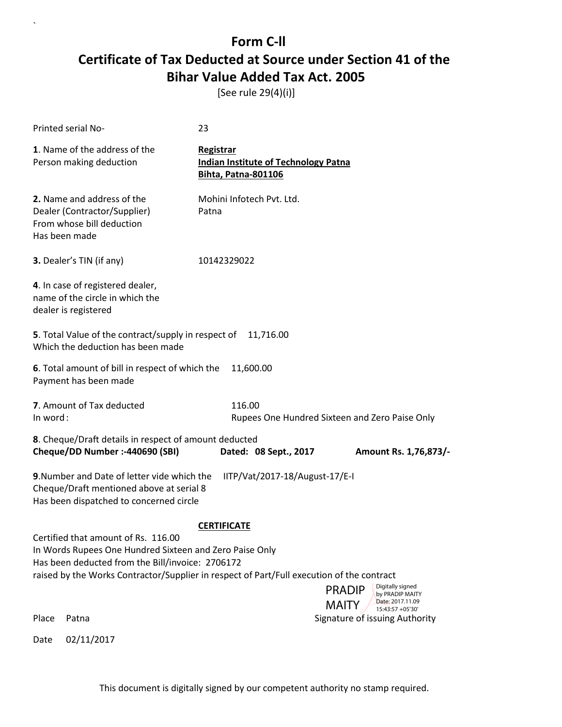[See rule 29(4)(i)]

| Printed serial No-                                                                                                                                 | 23                                                                                                                                                |
|----------------------------------------------------------------------------------------------------------------------------------------------------|---------------------------------------------------------------------------------------------------------------------------------------------------|
| 1. Name of the address of the<br>Person making deduction                                                                                           | Registrar<br><b>Indian Institute of Technology Patna</b><br><b>Bihta, Patna-801106</b>                                                            |
| 2. Name and address of the<br>Dealer (Contractor/Supplier)<br>From whose bill deduction<br>Has been made                                           | Mohini Infotech Pvt. Ltd.<br>Patna                                                                                                                |
| 3. Dealer's TIN (if any)                                                                                                                           | 10142329022                                                                                                                                       |
| 4. In case of registered dealer,<br>name of the circle in which the<br>dealer is registered                                                        |                                                                                                                                                   |
| 5. Total Value of the contract/supply in respect of<br>Which the deduction has been made                                                           | 11,716.00                                                                                                                                         |
| 6. Total amount of bill in respect of which the<br>Payment has been made                                                                           | 11,600.00                                                                                                                                         |
| 7. Amount of Tax deducted<br>In word:                                                                                                              | 116.00<br>Rupees One Hundred Sixteen and Zero Paise Only                                                                                          |
| 8. Cheque/Draft details in respect of amount deducted<br>Cheque/DD Number :- 440690 (SBI)                                                          | Dated: 08 Sept., 2017<br>Amount Rs. 1,76,873/-                                                                                                    |
| 9. Number and Date of letter vide which the<br>Cheque/Draft mentioned above at serial 8<br>Has been dispatched to concerned circle                 | IITP/Vat/2017-18/August-17/E-I                                                                                                                    |
|                                                                                                                                                    | <b>CERTIFICATE</b>                                                                                                                                |
| Certified that amount of Rs. 116.00<br>In Words Rupees One Hundred Sixteen and Zero Paise Only<br>Has been deducted from the Bill/invoice: 2706172 | raised by the Works Contractor/Supplier in respect of Part/Full execution of the contract<br>Digitally signed<br><b>PRADIP</b><br>by PRADIP MAITY |
| Place<br>Patna                                                                                                                                     | Date: 2017.11.09<br><b>MAITY</b><br>15:43:57 +05'30'<br>Signature of issuing Authority                                                            |
| 02/11/2017<br>Date                                                                                                                                 |                                                                                                                                                   |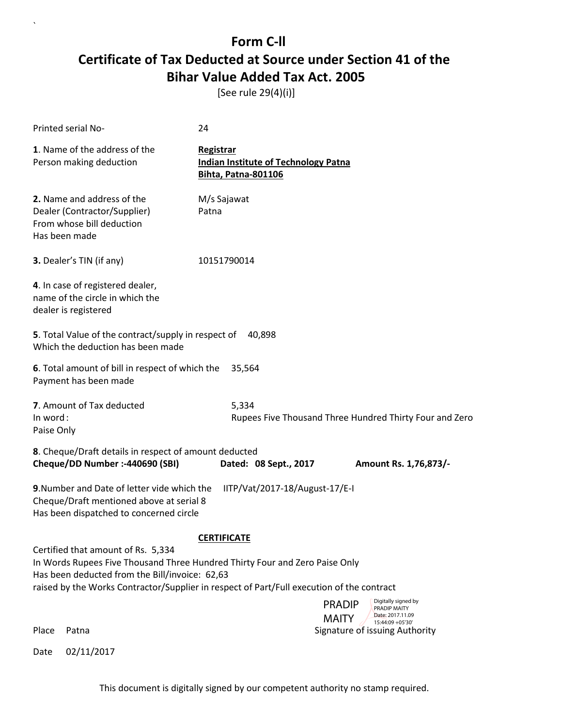[See rule 29(4)(i)]

| Printed serial No-                                                                                                                 | 24                                                                                                                                                                       |
|------------------------------------------------------------------------------------------------------------------------------------|--------------------------------------------------------------------------------------------------------------------------------------------------------------------------|
| 1. Name of the address of the<br>Person making deduction                                                                           | Registrar<br><b>Indian Institute of Technology Patna</b><br><b>Bihta, Patna-801106</b>                                                                                   |
| 2. Name and address of the<br>Dealer (Contractor/Supplier)<br>From whose bill deduction<br>Has been made                           | M/s Sajawat<br>Patna                                                                                                                                                     |
| 3. Dealer's TIN (if any)                                                                                                           | 10151790014                                                                                                                                                              |
| 4. In case of registered dealer,<br>name of the circle in which the<br>dealer is registered                                        |                                                                                                                                                                          |
| 5. Total Value of the contract/supply in respect of<br>Which the deduction has been made                                           | 40,898                                                                                                                                                                   |
| 6. Total amount of bill in respect of which the<br>Payment has been made                                                           | 35,564                                                                                                                                                                   |
| 7. Amount of Tax deducted<br>In word:<br>Paise Only                                                                                | 5,334<br>Rupees Five Thousand Three Hundred Thirty Four and Zero                                                                                                         |
| 8. Cheque/Draft details in respect of amount deducted<br>Cheque/DD Number :- 440690 (SBI)                                          | Dated: 08 Sept., 2017<br>Amount Rs. 1,76,873/-                                                                                                                           |
| 9. Number and Date of letter vide which the<br>Cheque/Draft mentioned above at serial 8<br>Has been dispatched to concerned circle | IITP/Vat/2017-18/August-17/E-I                                                                                                                                           |
|                                                                                                                                    | <b>CERTIFICATE</b>                                                                                                                                                       |
| Certified that amount of Rs. 5,334<br>Has been deducted from the Bill/invoice: 62,63                                               | In Words Rupees Five Thousand Three Hundred Thirty Four and Zero Paise Only<br>raised by the Works Contractor/Supplier in respect of Part/Full execution of the contract |
| Place<br>Patna                                                                                                                     | Digitally signed by<br><b>PRADIP</b><br>PRADIP MAITY<br>Date: 2017.11.09<br><b>MAITY</b><br>15:44:09 +05'30'<br>Signature of issuing Authority                           |

Date 02/11/2017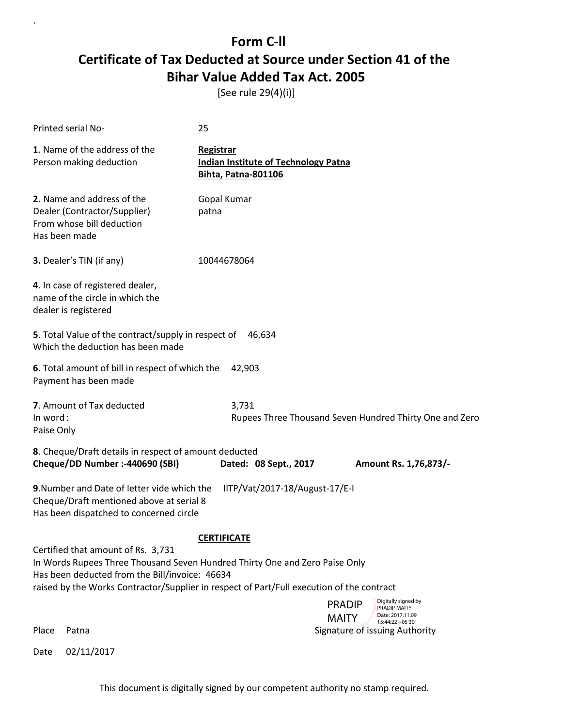[See rule 29(4)(i)]

| Printed serial No-                                                                                                                 | 25                                                                                                                                                                       |
|------------------------------------------------------------------------------------------------------------------------------------|--------------------------------------------------------------------------------------------------------------------------------------------------------------------------|
| 1. Name of the address of the<br>Person making deduction                                                                           | Registrar<br><b>Indian Institute of Technology Patna</b><br><b>Bihta, Patna-801106</b>                                                                                   |
| 2. Name and address of the<br>Dealer (Contractor/Supplier)<br>From whose bill deduction<br>Has been made                           | Gopal Kumar<br>patna                                                                                                                                                     |
| 3. Dealer's TIN (if any)                                                                                                           | 10044678064                                                                                                                                                              |
| 4. In case of registered dealer,<br>name of the circle in which the<br>dealer is registered                                        |                                                                                                                                                                          |
| 5. Total Value of the contract/supply in respect of<br>Which the deduction has been made                                           | 46,634                                                                                                                                                                   |
| 6. Total amount of bill in respect of which the<br>Payment has been made                                                           | 42,903                                                                                                                                                                   |
| 7. Amount of Tax deducted<br>In word:<br>Paise Only                                                                                | 3,731<br>Rupees Three Thousand Seven Hundred Thirty One and Zero                                                                                                         |
| 8. Cheque/Draft details in respect of amount deducted<br>Cheque/DD Number :- 440690 (SBI)                                          | Dated: 08 Sept., 2017<br>Amount Rs. 1,76,873/-                                                                                                                           |
| 9. Number and Date of letter vide which the<br>Cheque/Draft mentioned above at serial 8<br>Has been dispatched to concerned circle | IITP/Vat/2017-18/August-17/E-I                                                                                                                                           |
|                                                                                                                                    | <b>CERTIFICATE</b>                                                                                                                                                       |
| Certified that amount of Rs. 3,731<br>Has been deducted from the Bill/invoice: 46634                                               | In Words Rupees Three Thousand Seven Hundred Thirty One and Zero Paise Only<br>raised by the Works Contractor/Supplier in respect of Part/Full execution of the contract |
| Place<br>Patna                                                                                                                     | Digitally signed by<br><b>PRADIP</b><br>PRADIP MAITY<br>Date: 2017.11.09<br><b>MAITY</b><br>15:44:22 +05'30'<br>Signature of issuing Authority                           |

Date 02/11/2017

 $\overline{\phantom{a}}$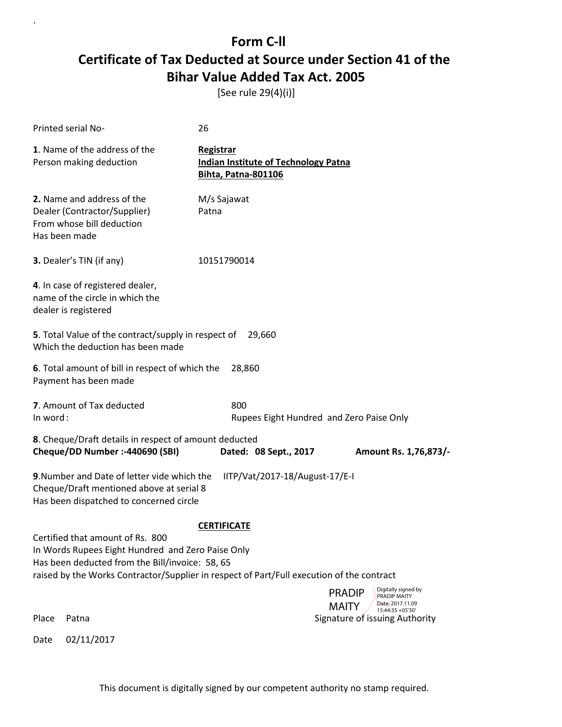[See rule 29(4)(i)]

| Printed serial No-                                                                                                                                                                                | 26                                                                                     |                                                                                                              |
|---------------------------------------------------------------------------------------------------------------------------------------------------------------------------------------------------|----------------------------------------------------------------------------------------|--------------------------------------------------------------------------------------------------------------|
| 1. Name of the address of the<br>Person making deduction                                                                                                                                          | Registrar<br><b>Indian Institute of Technology Patna</b><br><b>Bihta, Patna-801106</b> |                                                                                                              |
| 2. Name and address of the<br>Dealer (Contractor/Supplier)<br>From whose bill deduction<br>Has been made                                                                                          | M/s Sajawat<br>Patna                                                                   |                                                                                                              |
| 3. Dealer's TIN (if any)                                                                                                                                                                          | 10151790014                                                                            |                                                                                                              |
| 4. In case of registered dealer,<br>name of the circle in which the<br>dealer is registered                                                                                                       |                                                                                        |                                                                                                              |
| 5. Total Value of the contract/supply in respect of<br>Which the deduction has been made                                                                                                          | 29,660                                                                                 |                                                                                                              |
| 6. Total amount of bill in respect of which the<br>Payment has been made                                                                                                                          | 28,860                                                                                 |                                                                                                              |
| 7. Amount of Tax deducted<br>In word:                                                                                                                                                             | 800<br>Rupees Eight Hundred and Zero Paise Only                                        |                                                                                                              |
| 8. Cheque/Draft details in respect of amount deducted<br>Cheque/DD Number :- 440690 (SBI)                                                                                                         | Dated: 08 Sept., 2017                                                                  | Amount Rs. 1,76,873/-                                                                                        |
| 9. Number and Date of letter vide which the<br>Cheque/Draft mentioned above at serial 8<br>Has been dispatched to concerned circle                                                                | IITP/Vat/2017-18/August-17/E-I                                                         |                                                                                                              |
| Certified that amount of Rs. 800                                                                                                                                                                  | <b>CERTIFICATE</b>                                                                     |                                                                                                              |
| In Words Rupees Eight Hundred and Zero Paise Only<br>Has been deducted from the Bill/invoice: 58, 65<br>raised by the Works Contractor/Supplier in respect of Part/Full execution of the contract |                                                                                        |                                                                                                              |
|                                                                                                                                                                                                   |                                                                                        | Digitally signed by<br><b>PRADIP</b><br>PRADIP MAITY<br>Date: 2017.11.09<br><b>MAITY</b><br>15:44:35 +05'30' |
| Place<br>Patna                                                                                                                                                                                    |                                                                                        | Signature of issuing Authority                                                                               |
| 02/11/2017<br>Date                                                                                                                                                                                |                                                                                        |                                                                                                              |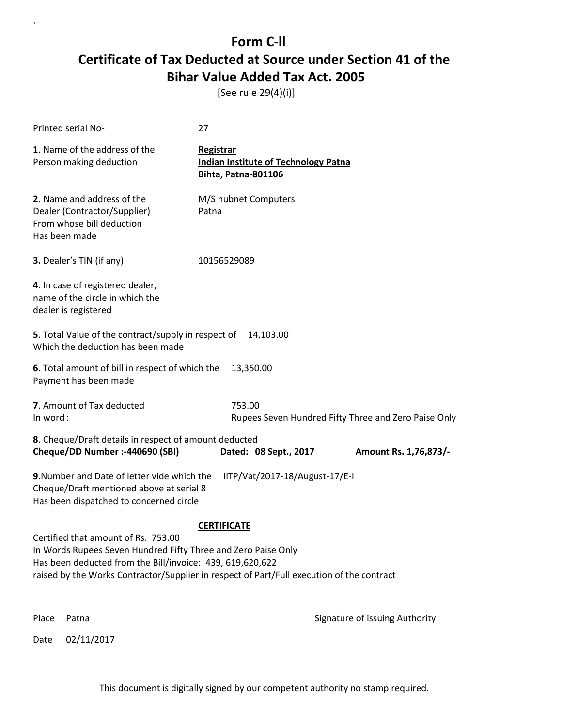[See rule 29(4)(i)]

|                                                                                                                                                                                                                                                                                      | Printed serial No-                                                                                                                                                   | 27                                                                                     |                                                      |  |  |
|--------------------------------------------------------------------------------------------------------------------------------------------------------------------------------------------------------------------------------------------------------------------------------------|----------------------------------------------------------------------------------------------------------------------------------------------------------------------|----------------------------------------------------------------------------------------|------------------------------------------------------|--|--|
|                                                                                                                                                                                                                                                                                      | 1. Name of the address of the<br>Person making deduction                                                                                                             | Registrar<br><b>Indian Institute of Technology Patna</b><br><b>Bihta, Patna-801106</b> |                                                      |  |  |
|                                                                                                                                                                                                                                                                                      | 2. Name and address of the<br>Dealer (Contractor/Supplier)<br>From whose bill deduction<br>Has been made                                                             | M/S hubnet Computers<br>Patna                                                          |                                                      |  |  |
|                                                                                                                                                                                                                                                                                      | 3. Dealer's TIN (if any)                                                                                                                                             | 10156529089                                                                            |                                                      |  |  |
|                                                                                                                                                                                                                                                                                      | 4. In case of registered dealer,<br>name of the circle in which the<br>dealer is registered                                                                          |                                                                                        |                                                      |  |  |
|                                                                                                                                                                                                                                                                                      | 5. Total Value of the contract/supply in respect of<br>Which the deduction has been made                                                                             | 14,103.00                                                                              |                                                      |  |  |
|                                                                                                                                                                                                                                                                                      | 6. Total amount of bill in respect of which the<br>Payment has been made                                                                                             | 13,350.00                                                                              |                                                      |  |  |
| In word:                                                                                                                                                                                                                                                                             | 7. Amount of Tax deducted                                                                                                                                            | 753.00                                                                                 | Rupees Seven Hundred Fifty Three and Zero Paise Only |  |  |
|                                                                                                                                                                                                                                                                                      | 8. Cheque/Draft details in respect of amount deducted<br>Cheque/DD Number :- 440690 (SBI)                                                                            | Dated: 08 Sept., 2017                                                                  | Amount Rs. 1,76,873/-                                |  |  |
|                                                                                                                                                                                                                                                                                      | 9. Number and Date of letter vide which the<br>IITP/Vat/2017-18/August-17/E-I<br>Cheque/Draft mentioned above at serial 8<br>Has been dispatched to concerned circle |                                                                                        |                                                      |  |  |
| <b>CERTIFICATE</b><br>Certified that amount of Rs. 753.00<br>In Words Rupees Seven Hundred Fifty Three and Zero Paise Only<br>Has been deducted from the Bill/invoice: 439, 619,620,622<br>raised by the Works Contractor/Supplier in respect of Part/Full execution of the contract |                                                                                                                                                                      |                                                                                        |                                                      |  |  |
| Place                                                                                                                                                                                                                                                                                | Patna                                                                                                                                                                |                                                                                        | Signature of issuing Authority                       |  |  |
| Date                                                                                                                                                                                                                                                                                 | 02/11/2017                                                                                                                                                           |                                                                                        |                                                      |  |  |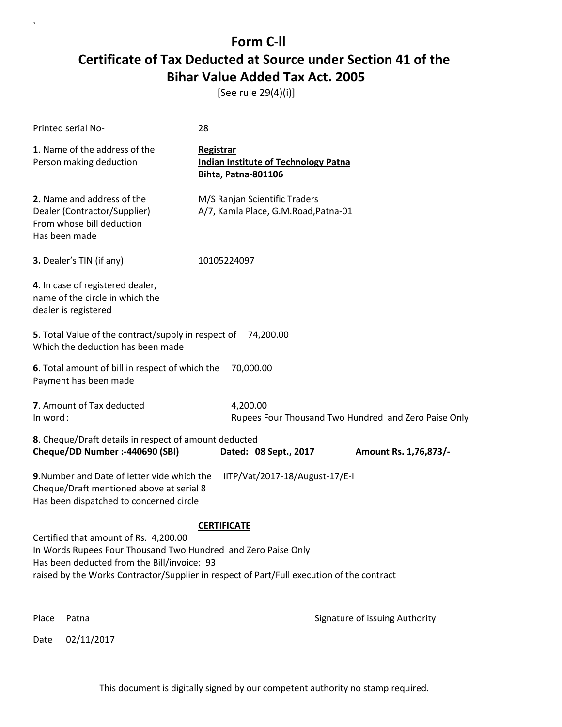[See rule 29(4)(i)]

| Printed serial No-                                                                                                                                                                                                                                                       | 28        |                                                                           |                                                      |  |  |
|--------------------------------------------------------------------------------------------------------------------------------------------------------------------------------------------------------------------------------------------------------------------------|-----------|---------------------------------------------------------------------------|------------------------------------------------------|--|--|
| 1. Name of the address of the<br>Person making deduction                                                                                                                                                                                                                 | Registrar | <b>Indian Institute of Technology Patna</b><br><b>Bihta, Patna-801106</b> |                                                      |  |  |
| 2. Name and address of the<br>Dealer (Contractor/Supplier)<br>From whose bill deduction<br>Has been made                                                                                                                                                                 |           | M/S Ranjan Scientific Traders<br>A/7, Kamla Place, G.M.Road, Patna-01     |                                                      |  |  |
| 3. Dealer's TIN (if any)                                                                                                                                                                                                                                                 |           | 10105224097                                                               |                                                      |  |  |
| 4. In case of registered dealer,<br>name of the circle in which the<br>dealer is registered                                                                                                                                                                              |           |                                                                           |                                                      |  |  |
| 5. Total Value of the contract/supply in respect of<br>Which the deduction has been made                                                                                                                                                                                 |           | 74,200.00                                                                 |                                                      |  |  |
| 6. Total amount of bill in respect of which the<br>Payment has been made                                                                                                                                                                                                 |           | 70,000.00                                                                 |                                                      |  |  |
| 7. Amount of Tax deducted<br>In word:                                                                                                                                                                                                                                    |           | 4,200.00                                                                  | Rupees Four Thousand Two Hundred and Zero Paise Only |  |  |
| 8. Cheque/Draft details in respect of amount deducted<br>Cheque/DD Number :- 440690 (SBI)                                                                                                                                                                                |           | Dated: 08 Sept., 2017                                                     | Amount Rs. 1,76,873/-                                |  |  |
| IITP/Vat/2017-18/August-17/E-I<br>9. Number and Date of letter vide which the<br>Cheque/Draft mentioned above at serial 8<br>Has been dispatched to concerned circle                                                                                                     |           |                                                                           |                                                      |  |  |
| <b>CERTIFICATE</b><br>Certified that amount of Rs. 4,200.00<br>In Words Rupees Four Thousand Two Hundred and Zero Paise Only<br>Has been deducted from the Bill/invoice: 93<br>raised by the Works Contractor/Supplier in respect of Part/Full execution of the contract |           |                                                                           |                                                      |  |  |
| Place<br>Patna                                                                                                                                                                                                                                                           |           |                                                                           | Signature of issuing Authority                       |  |  |
| 02/11/2017<br>Date                                                                                                                                                                                                                                                       |           |                                                                           |                                                      |  |  |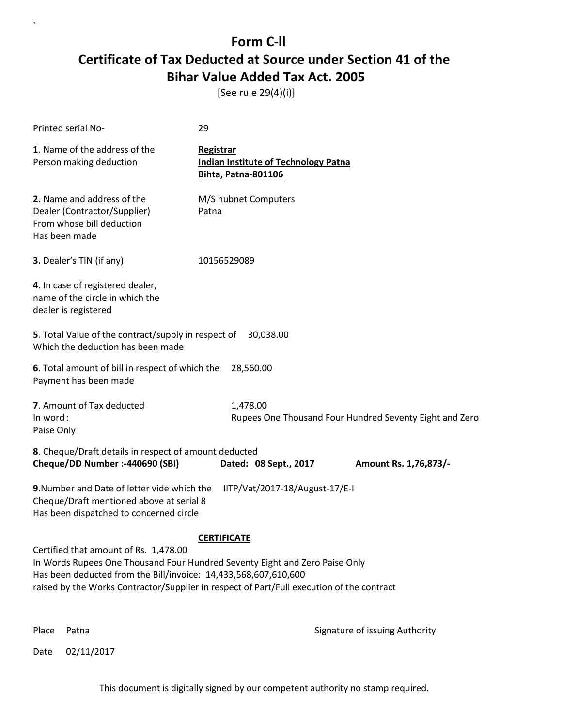[See rule 29(4)(i)]

| Printed serial No-                                                                                                                                                                                                                                                                   | 29                                                                              |                                                         |
|--------------------------------------------------------------------------------------------------------------------------------------------------------------------------------------------------------------------------------------------------------------------------------------|---------------------------------------------------------------------------------|---------------------------------------------------------|
| 1. Name of the address of the<br>Person making deduction                                                                                                                                                                                                                             | Registrar<br><b>Indian Institute of Technology Patna</b><br>Bihta, Patna-801106 |                                                         |
| 2. Name and address of the<br>Dealer (Contractor/Supplier)<br>From whose bill deduction<br>Has been made                                                                                                                                                                             | M/S hubnet Computers<br>Patna                                                   |                                                         |
| 3. Dealer's TIN (if any)                                                                                                                                                                                                                                                             | 10156529089                                                                     |                                                         |
| 4. In case of registered dealer,<br>name of the circle in which the<br>dealer is registered                                                                                                                                                                                          |                                                                                 |                                                         |
| 5. Total Value of the contract/supply in respect of<br>Which the deduction has been made                                                                                                                                                                                             | 30,038.00                                                                       |                                                         |
| 6. Total amount of bill in respect of which the<br>Payment has been made                                                                                                                                                                                                             | 28,560.00                                                                       |                                                         |
| 7. Amount of Tax deducted<br>In word:<br>Paise Only                                                                                                                                                                                                                                  | 1,478.00                                                                        | Rupees One Thousand Four Hundred Seventy Eight and Zero |
| 8. Cheque/Draft details in respect of amount deducted<br>Cheque/DD Number :- 440690 (SBI)                                                                                                                                                                                            | Dated: 08 Sept., 2017                                                           | Amount Rs. 1,76,873/-                                   |
| 9. Number and Date of letter vide which the<br>Cheque/Draft mentioned above at serial 8<br>Has been dispatched to concerned circle                                                                                                                                                   | IITP/Vat/2017-18/August-17/E-I                                                  |                                                         |
| Certified that amount of Rs. 1,478.00<br>In Words Rupees One Thousand Four Hundred Seventy Eight and Zero Paise Only<br>Has been deducted from the Bill/invoice: 14,433,568,607,610,600<br>raised by the Works Contractor/Supplier in respect of Part/Full execution of the contract | <b>CERTIFICATE</b>                                                              |                                                         |

 $\ddot{\phantom{0}}$ 

Place Patna **Property** Place Patna Signature of issuing Authority

Date 02/11/2017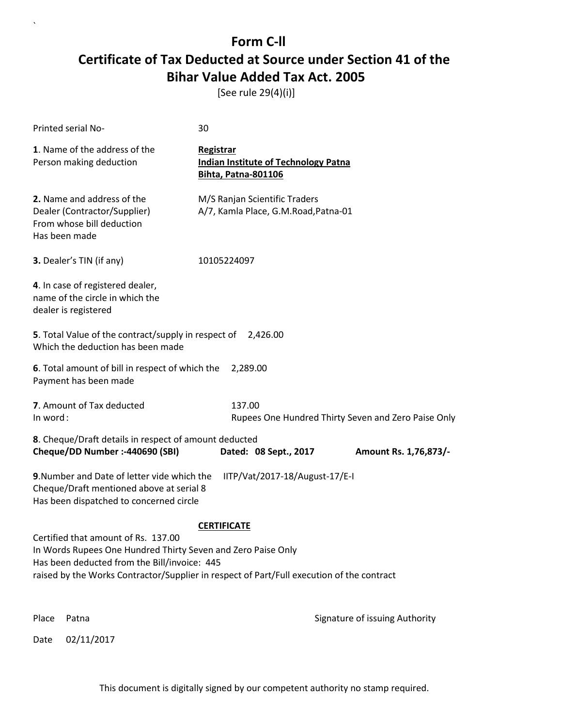[See rule 29(4)(i)]

 $\ddot{\phantom{0}}$ 

|                                                                                                                                                                                                                                                                        | Printed serial No-                                                                                                                                                   | 30                                                                                     |                                                     |  |  |
|------------------------------------------------------------------------------------------------------------------------------------------------------------------------------------------------------------------------------------------------------------------------|----------------------------------------------------------------------------------------------------------------------------------------------------------------------|----------------------------------------------------------------------------------------|-----------------------------------------------------|--|--|
|                                                                                                                                                                                                                                                                        | 1. Name of the address of the<br>Person making deduction                                                                                                             | Registrar<br><b>Indian Institute of Technology Patna</b><br><b>Bihta, Patna-801106</b> |                                                     |  |  |
|                                                                                                                                                                                                                                                                        | 2. Name and address of the<br>Dealer (Contractor/Supplier)<br>From whose bill deduction<br>Has been made                                                             | M/S Ranjan Scientific Traders<br>A/7, Kamla Place, G.M.Road, Patna-01                  |                                                     |  |  |
|                                                                                                                                                                                                                                                                        | 3. Dealer's TIN (if any)                                                                                                                                             | 10105224097                                                                            |                                                     |  |  |
|                                                                                                                                                                                                                                                                        | 4. In case of registered dealer,<br>name of the circle in which the<br>dealer is registered                                                                          |                                                                                        |                                                     |  |  |
|                                                                                                                                                                                                                                                                        | 5. Total Value of the contract/supply in respect of<br>Which the deduction has been made                                                                             | 2,426.00                                                                               |                                                     |  |  |
|                                                                                                                                                                                                                                                                        | 6. Total amount of bill in respect of which the<br>Payment has been made                                                                                             | 2,289.00                                                                               |                                                     |  |  |
| In word:                                                                                                                                                                                                                                                               | 7. Amount of Tax deducted                                                                                                                                            | 137.00                                                                                 | Rupees One Hundred Thirty Seven and Zero Paise Only |  |  |
|                                                                                                                                                                                                                                                                        | 8. Cheque/Draft details in respect of amount deducted<br>Cheque/DD Number :- 440690 (SBI)                                                                            | Dated: 08 Sept., 2017                                                                  | Amount Rs. 1,76,873/-                               |  |  |
|                                                                                                                                                                                                                                                                        | 9. Number and Date of letter vide which the<br>IITP/Vat/2017-18/August-17/E-I<br>Cheque/Draft mentioned above at serial 8<br>Has been dispatched to concerned circle |                                                                                        |                                                     |  |  |
| <b>CERTIFICATE</b><br>Certified that amount of Rs. 137.00<br>In Words Rupees One Hundred Thirty Seven and Zero Paise Only<br>Has been deducted from the Bill/invoice: 445<br>raised by the Works Contractor/Supplier in respect of Part/Full execution of the contract |                                                                                                                                                                      |                                                                                        |                                                     |  |  |
| Place                                                                                                                                                                                                                                                                  | Patna                                                                                                                                                                |                                                                                        | Signature of issuing Authority                      |  |  |
| Date                                                                                                                                                                                                                                                                   | 02/11/2017                                                                                                                                                           |                                                                                        |                                                     |  |  |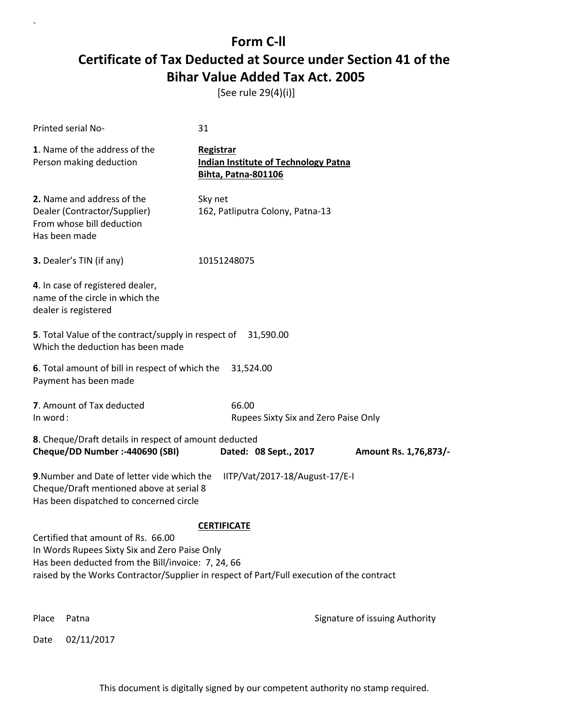[See rule 29(4)(i)]

|          | Printed serial No-                                                                                                                                                                                                                     | 31                                      |                                             |                                |
|----------|----------------------------------------------------------------------------------------------------------------------------------------------------------------------------------------------------------------------------------------|-----------------------------------------|---------------------------------------------|--------------------------------|
|          | 1. Name of the address of the<br>Person making deduction                                                                                                                                                                               | Registrar<br><b>Bihta, Patna-801106</b> | <b>Indian Institute of Technology Patna</b> |                                |
|          | 2. Name and address of the<br>Dealer (Contractor/Supplier)<br>From whose bill deduction<br>Has been made                                                                                                                               | Sky net                                 | 162, Patliputra Colony, Patna-13            |                                |
|          | 3. Dealer's TIN (if any)                                                                                                                                                                                                               | 10151248075                             |                                             |                                |
|          | 4. In case of registered dealer,<br>name of the circle in which the<br>dealer is registered                                                                                                                                            |                                         |                                             |                                |
|          | 5. Total Value of the contract/supply in respect of<br>Which the deduction has been made                                                                                                                                               |                                         | 31,590.00                                   |                                |
|          | 6. Total amount of bill in respect of which the<br>Payment has been made                                                                                                                                                               | 31,524.00                               |                                             |                                |
| In word: | 7. Amount of Tax deducted                                                                                                                                                                                                              | 66.00                                   | Rupees Sixty Six and Zero Paise Only        |                                |
|          | 8. Cheque/Draft details in respect of amount deducted<br>Cheque/DD Number :- 440690 (SBI)                                                                                                                                              |                                         | Dated: 08 Sept., 2017                       | Amount Rs. 1,76,873/-          |
|          | 9. Number and Date of letter vide which the<br>Cheque/Draft mentioned above at serial 8<br>Has been dispatched to concerned circle                                                                                                     |                                         | IITP/Vat/2017-18/August-17/E-I              |                                |
|          | Certified that amount of Rs. 66.00<br>In Words Rupees Sixty Six and Zero Paise Only<br>Has been deducted from the Bill/invoice: 7, 24, 66<br>raised by the Works Contractor/Supplier in respect of Part/Full execution of the contract | <b>CERTIFICATE</b>                      |                                             |                                |
| Place    | Patna                                                                                                                                                                                                                                  |                                         |                                             | Signature of issuing Authority |
| Date     | 02/11/2017                                                                                                                                                                                                                             |                                         |                                             |                                |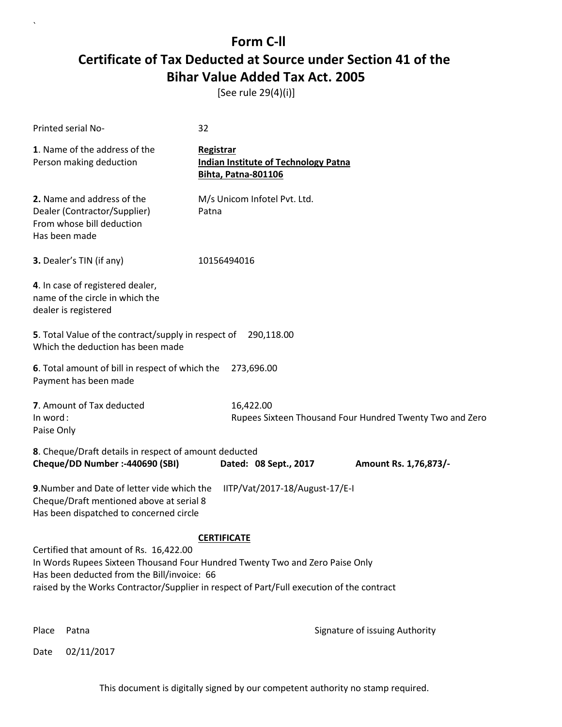[See rule 29(4)(i)]

| Printed serial No-                                                                                                                                                                                                                                                                       | 32          |                                                                           |  |                       |
|------------------------------------------------------------------------------------------------------------------------------------------------------------------------------------------------------------------------------------------------------------------------------------------|-------------|---------------------------------------------------------------------------|--|-----------------------|
| 1. Name of the address of the<br>Person making deduction                                                                                                                                                                                                                                 | Registrar   | <b>Indian Institute of Technology Patna</b><br><b>Bihta, Patna-801106</b> |  |                       |
| 2. Name and address of the<br>Dealer (Contractor/Supplier)<br>From whose bill deduction<br>Has been made                                                                                                                                                                                 | Patna       | M/s Unicom Infotel Pvt. Ltd.                                              |  |                       |
| 3. Dealer's TIN (if any)                                                                                                                                                                                                                                                                 | 10156494016 |                                                                           |  |                       |
| 4. In case of registered dealer,<br>name of the circle in which the<br>dealer is registered                                                                                                                                                                                              |             |                                                                           |  |                       |
| 5. Total Value of the contract/supply in respect of 290,118.00<br>Which the deduction has been made                                                                                                                                                                                      |             |                                                                           |  |                       |
| 6. Total amount of bill in respect of which the<br>Payment has been made                                                                                                                                                                                                                 |             | 273,696.00                                                                |  |                       |
| 7. Amount of Tax deducted<br>In word:<br>Paise Only                                                                                                                                                                                                                                      |             | 16,422.00<br>Rupees Sixteen Thousand Four Hundred Twenty Two and Zero     |  |                       |
| 8. Cheque/Draft details in respect of amount deducted<br>Cheque/DD Number :- 440690 (SBI)                                                                                                                                                                                                |             | Dated: 08 Sept., 2017                                                     |  | Amount Rs. 1,76,873/- |
| 9. Number and Date of letter vide which the<br>IITP/Vat/2017-18/August-17/E-I<br>Cheque/Draft mentioned above at serial 8<br>Has been dispatched to concerned circle                                                                                                                     |             |                                                                           |  |                       |
| <b>CERTIFICATE</b><br>Certified that amount of Rs. 16,422.00<br>In Words Rupees Sixteen Thousand Four Hundred Twenty Two and Zero Paise Only<br>Has been deducted from the Bill/invoice: 66<br>raised by the Works Contractor/Supplier in respect of Part/Full execution of the contract |             |                                                                           |  |                       |

`

Place Patna **Property** Place Patna Signature of issuing Authority

Date 02/11/2017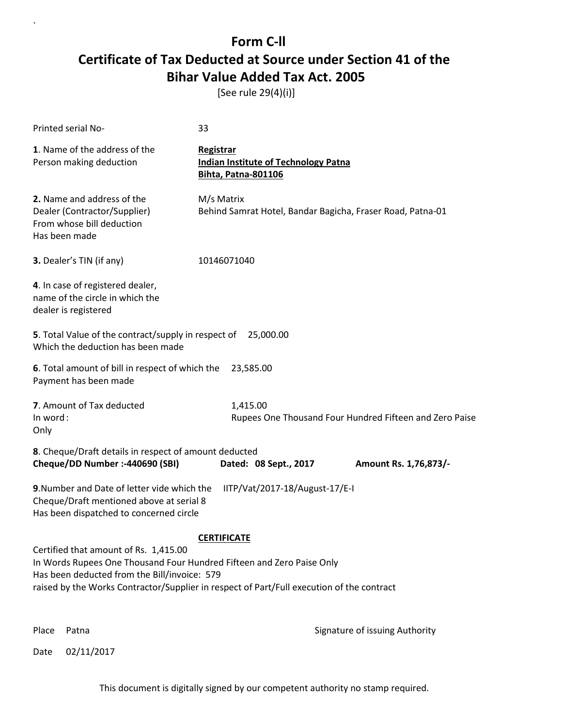[See rule 29(4)(i)]

| <b>Printed serial No-</b>                                                                                                                                            | 33                                                                                                              |  |  |  |
|----------------------------------------------------------------------------------------------------------------------------------------------------------------------|-----------------------------------------------------------------------------------------------------------------|--|--|--|
| 1. Name of the address of the<br>Person making deduction                                                                                                             | <b>Registrar</b><br><b>Indian Institute of Technology Patna</b><br><b>Bihta, Patna-801106</b>                   |  |  |  |
| 2. Name and address of the<br>Dealer (Contractor/Supplier)<br>From whose bill deduction<br>Has been made                                                             | M/s Matrix<br>Behind Samrat Hotel, Bandar Bagicha, Fraser Road, Patna-01                                        |  |  |  |
| 3. Dealer's TIN (if any)                                                                                                                                             | 10146071040                                                                                                     |  |  |  |
| 4. In case of registered dealer,<br>name of the circle in which the<br>dealer is registered                                                                          |                                                                                                                 |  |  |  |
| 5. Total Value of the contract/supply in respect of<br>Which the deduction has been made                                                                             | 25,000.00                                                                                                       |  |  |  |
| 6. Total amount of bill in respect of which the<br>Payment has been made                                                                                             | 23,585.00                                                                                                       |  |  |  |
| 7. Amount of Tax deducted<br>In word:<br>Only                                                                                                                        | 1,415.00<br>Rupees One Thousand Four Hundred Fifteen and Zero Paise                                             |  |  |  |
| 8. Cheque/Draft details in respect of amount deducted<br>Cheque/DD Number :- 440690 (SBI)                                                                            | Dated: 08 Sept., 2017<br>Amount Rs. 1,76,873/-                                                                  |  |  |  |
| 9. Number and Date of letter vide which the<br>IITP/Vat/2017-18/August-17/E-I<br>Cheque/Draft mentioned above at serial 8<br>Has been dispatched to concerned circle |                                                                                                                 |  |  |  |
| Certified that amount of Rs. 1,415.00<br>In Words Rupees One Thousand Four Hundred Fifteen and Zero Paise Only<br>Has been deducted from the Bill/invoice: 579       | <b>CERTIFICATE</b><br>raised by the Works Contractor/Supplier in respect of Part/Full execution of the contract |  |  |  |

 $\ddot{\phantom{0}}$ 

Place Patna **Property** Place Patna Signature of issuing Authority

Date 02/11/2017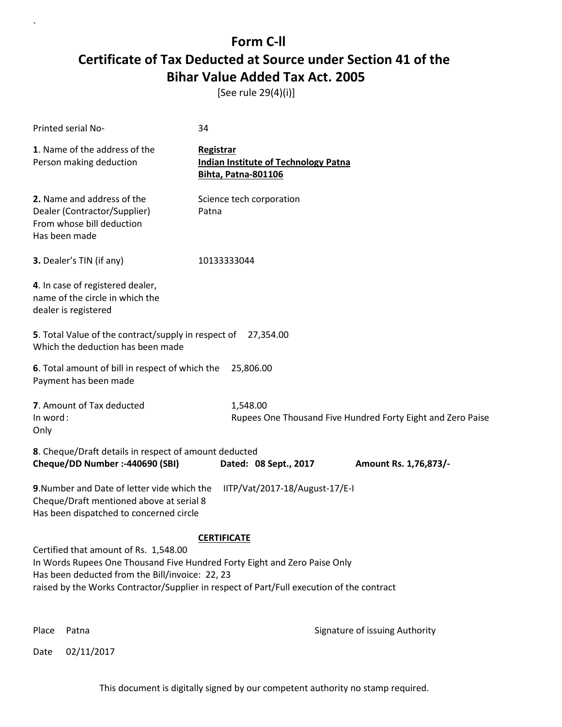[See rule 29(4)(i)]

| Printed serial No-                                                                                                                                                    | 34                                                                                                              |
|-----------------------------------------------------------------------------------------------------------------------------------------------------------------------|-----------------------------------------------------------------------------------------------------------------|
| 1. Name of the address of the<br>Person making deduction                                                                                                              | Registrar<br><b>Indian Institute of Technology Patna</b><br>Bihta, Patna-801106                                 |
| 2. Name and address of the<br>Dealer (Contractor/Supplier)<br>From whose bill deduction<br>Has been made                                                              | Science tech corporation<br>Patna                                                                               |
| 3. Dealer's TIN (if any)                                                                                                                                              | 10133333044                                                                                                     |
| 4. In case of registered dealer,<br>name of the circle in which the<br>dealer is registered                                                                           |                                                                                                                 |
| 5. Total Value of the contract/supply in respect of 27,354.00<br>Which the deduction has been made                                                                    |                                                                                                                 |
| 6. Total amount of bill in respect of which the<br>Payment has been made                                                                                              | 25,806.00                                                                                                       |
| 7. Amount of Tax deducted<br>In word:<br>Only                                                                                                                         | 1,548.00<br>Rupees One Thousand Five Hundred Forty Eight and Zero Paise                                         |
| 8. Cheque/Draft details in respect of amount deducted<br>Cheque/DD Number :- 440690 (SBI)                                                                             | Dated: 08 Sept., 2017<br>Amount Rs. 1,76,873/-                                                                  |
| 9. Number and Date of letter vide which the<br>Cheque/Draft mentioned above at serial 8<br>Has been dispatched to concerned circle                                    | IITP/Vat/2017-18/August-17/E-I                                                                                  |
| Certified that amount of Rs. 1,548.00<br>In Words Rupees One Thousand Five Hundred Forty Eight and Zero Paise Only<br>Has been deducted from the Bill/invoice: 22, 23 | <b>CERTIFICATE</b><br>raised by the Works Contractor/Supplier in respect of Part/Full execution of the contract |

 $\ddot{\phantom{0}}$ 

Place Patna **Property** Place Patna Signature of issuing Authority

Date 02/11/2017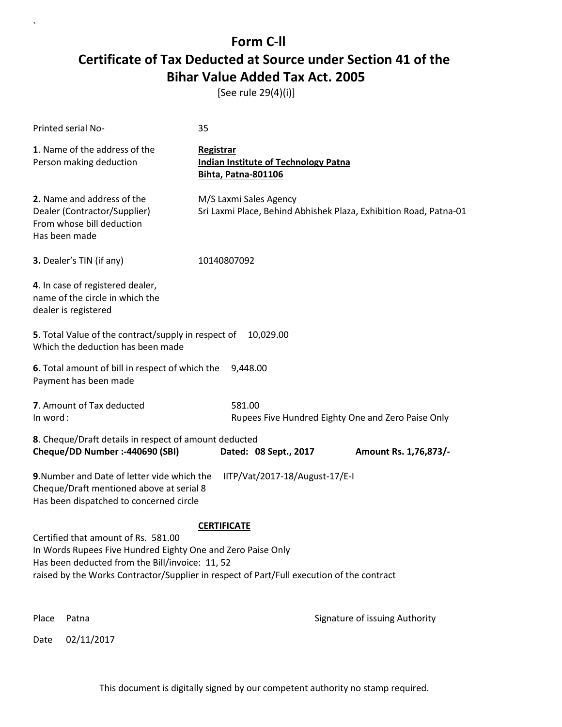[See rule 29(4)(i)]

| Printed serial No-                                                                                                                                    | 35                                                                                                              |
|-------------------------------------------------------------------------------------------------------------------------------------------------------|-----------------------------------------------------------------------------------------------------------------|
| 1. Name of the address of the<br>Person making deduction                                                                                              | <b>Registrar</b><br><b>Indian Institute of Technology Patna</b><br>Bihta, Patna-801106                          |
| 2. Name and address of the<br>Dealer (Contractor/Supplier)<br>From whose bill deduction<br>Has been made                                              | M/S Laxmi Sales Agency<br>Sri Laxmi Place, Behind Abhishek Plaza, Exhibition Road, Patna-01                     |
| 3. Dealer's TIN (if any)                                                                                                                              | 10140807092                                                                                                     |
| 4. In case of registered dealer,<br>name of the circle in which the<br>dealer is registered                                                           |                                                                                                                 |
| 5. Total Value of the contract/supply in respect of<br>Which the deduction has been made                                                              | 10,029.00                                                                                                       |
| 6. Total amount of bill in respect of which the<br>Payment has been made                                                                              | 9,448.00                                                                                                        |
| 7. Amount of Tax deducted<br>In word:                                                                                                                 | 581.00<br>Rupees Five Hundred Eighty One and Zero Paise Only                                                    |
| 8. Cheque/Draft details in respect of amount deducted<br>Cheque/DD Number :- 440690 (SBI)                                                             | Dated: 08 Sept., 2017<br>Amount Rs. 1,76,873/-                                                                  |
| 9. Number and Date of letter vide which the<br>Cheque/Draft mentioned above at serial 8<br>Has been dispatched to concerned circle                    | IITP/Vat/2017-18/August-17/E-I                                                                                  |
| Certified that amount of Rs. 581.00<br>In Words Rupees Five Hundred Eighty One and Zero Paise Only<br>Has been deducted from the Bill/invoice: 11, 52 | <b>CERTIFICATE</b><br>raised by the Works Contractor/Supplier in respect of Part/Full execution of the contract |
| Place<br>Patna                                                                                                                                        | Signature of issuing Authority                                                                                  |
| 02/11/2017<br>Date                                                                                                                                    |                                                                                                                 |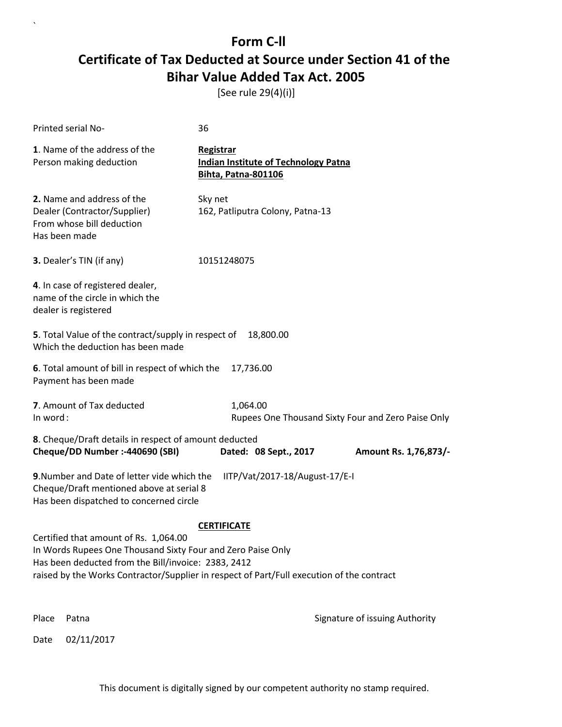[See rule 29(4)(i)]

|                                                                                                                                                                                                                                                                                | Printed serial No-                                                                                                                 | 36                                      |                                             |                                |
|--------------------------------------------------------------------------------------------------------------------------------------------------------------------------------------------------------------------------------------------------------------------------------|------------------------------------------------------------------------------------------------------------------------------------|-----------------------------------------|---------------------------------------------|--------------------------------|
|                                                                                                                                                                                                                                                                                | 1. Name of the address of the<br>Person making deduction                                                                           | Registrar<br><b>Bihta, Patna-801106</b> | <b>Indian Institute of Technology Patna</b> |                                |
|                                                                                                                                                                                                                                                                                | 2. Name and address of the<br>Dealer (Contractor/Supplier)<br>From whose bill deduction<br>Has been made                           | Sky net                                 | 162, Patliputra Colony, Patna-13            |                                |
|                                                                                                                                                                                                                                                                                | 3. Dealer's TIN (if any)                                                                                                           | 10151248075                             |                                             |                                |
|                                                                                                                                                                                                                                                                                | 4. In case of registered dealer,<br>name of the circle in which the<br>dealer is registered                                        |                                         |                                             |                                |
|                                                                                                                                                                                                                                                                                | 5. Total Value of the contract/supply in respect of<br>Which the deduction has been made                                           |                                         | 18,800.00                                   |                                |
|                                                                                                                                                                                                                                                                                | 6. Total amount of bill in respect of which the<br>Payment has been made                                                           | 17,736.00                               |                                             |                                |
|                                                                                                                                                                                                                                                                                | 7. Amount of Tax deducted<br>1,064.00<br>In word:<br>Rupees One Thousand Sixty Four and Zero Paise Only                            |                                         |                                             |                                |
|                                                                                                                                                                                                                                                                                | 8. Cheque/Draft details in respect of amount deducted<br>Cheque/DD Number :- 440690 (SBI)                                          |                                         | Dated: 08 Sept., 2017                       | Amount Rs. 1,76,873/-          |
|                                                                                                                                                                                                                                                                                | 9. Number and Date of letter vide which the<br>Cheque/Draft mentioned above at serial 8<br>Has been dispatched to concerned circle |                                         | IITP/Vat/2017-18/August-17/E-I              |                                |
| <b>CERTIFICATE</b><br>Certified that amount of Rs. 1,064.00<br>In Words Rupees One Thousand Sixty Four and Zero Paise Only<br>Has been deducted from the Bill/invoice: 2383, 2412<br>raised by the Works Contractor/Supplier in respect of Part/Full execution of the contract |                                                                                                                                    |                                         |                                             |                                |
| Place                                                                                                                                                                                                                                                                          | Patna                                                                                                                              |                                         |                                             | Signature of issuing Authority |
| Date                                                                                                                                                                                                                                                                           | 02/11/2017                                                                                                                         |                                         |                                             |                                |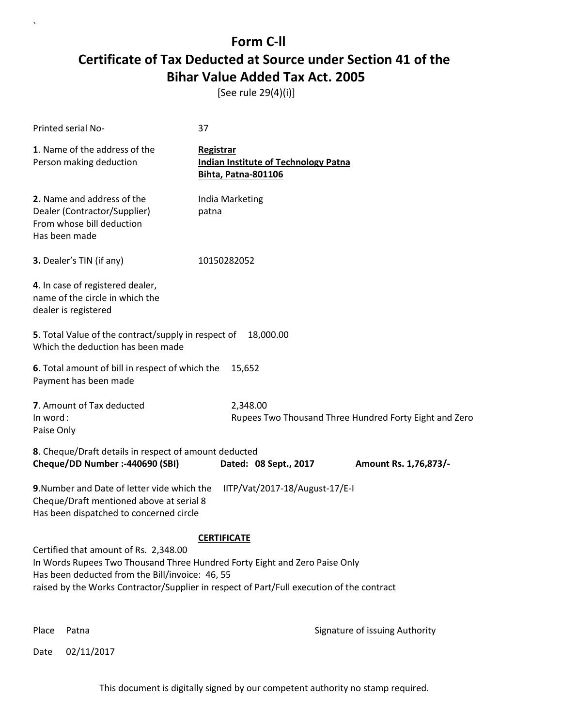[See rule 29(4)(i)]

| Printed serial No-                                                                                                                 | 37                                                                                                                                                                      |                       |
|------------------------------------------------------------------------------------------------------------------------------------|-------------------------------------------------------------------------------------------------------------------------------------------------------------------------|-----------------------|
| 1. Name of the address of the<br>Person making deduction                                                                           | Registrar<br><b>Indian Institute of Technology Patna</b><br><b>Bihta, Patna-801106</b>                                                                                  |                       |
| 2. Name and address of the<br>Dealer (Contractor/Supplier)<br>From whose bill deduction<br>Has been made                           | India Marketing<br>patna                                                                                                                                                |                       |
| 3. Dealer's TIN (if any)                                                                                                           | 10150282052                                                                                                                                                             |                       |
| 4. In case of registered dealer,<br>name of the circle in which the<br>dealer is registered                                        |                                                                                                                                                                         |                       |
| 5. Total Value of the contract/supply in respect of<br>Which the deduction has been made                                           | 18,000.00                                                                                                                                                               |                       |
| 6. Total amount of bill in respect of which the<br>Payment has been made                                                           | 15,652                                                                                                                                                                  |                       |
| 7. Amount of Tax deducted<br>In word:<br>Paise Only                                                                                | 2,348.00<br>Rupees Two Thousand Three Hundred Forty Eight and Zero                                                                                                      |                       |
| 8. Cheque/Draft details in respect of amount deducted<br>Cheque/DD Number :- 440690 (SBI)                                          | Dated: 08 Sept., 2017                                                                                                                                                   | Amount Rs. 1,76,873/- |
| 9. Number and Date of letter vide which the<br>Cheque/Draft mentioned above at serial 8<br>Has been dispatched to concerned circle | IITP/Vat/2017-18/August-17/E-I                                                                                                                                          |                       |
|                                                                                                                                    | <b>CERTIFICATE</b>                                                                                                                                                      |                       |
| Certified that amount of Rs. 2,348.00<br>Has been deducted from the Bill/invoice: 46, 55                                           | In Words Rupees Two Thousand Three Hundred Forty Eight and Zero Paise Only<br>raised by the Works Contractor/Supplier in respect of Part/Full execution of the contract |                       |
|                                                                                                                                    |                                                                                                                                                                         |                       |

 $\ddot{\phantom{0}}$ 

Place Patna **Property** Place Patna Signature of issuing Authority

Date 02/11/2017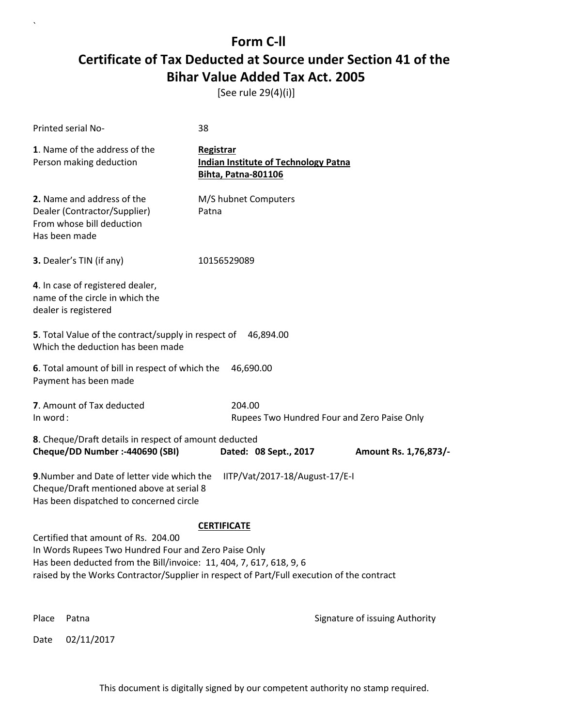[See rule 29(4)(i)]

|          | Printed serial No-                                                                                                                                                                                                                                              | 38                                                                                     |                                             |                                |
|----------|-----------------------------------------------------------------------------------------------------------------------------------------------------------------------------------------------------------------------------------------------------------------|----------------------------------------------------------------------------------------|---------------------------------------------|--------------------------------|
|          | 1. Name of the address of the<br>Person making deduction                                                                                                                                                                                                        | Registrar<br><b>Indian Institute of Technology Patna</b><br><b>Bihta, Patna-801106</b> |                                             |                                |
|          | 2. Name and address of the<br>Dealer (Contractor/Supplier)<br>From whose bill deduction<br>Has been made                                                                                                                                                        | M/S hubnet Computers<br>Patna                                                          |                                             |                                |
|          | 3. Dealer's TIN (if any)                                                                                                                                                                                                                                        | 10156529089                                                                            |                                             |                                |
|          | 4. In case of registered dealer,<br>name of the circle in which the<br>dealer is registered                                                                                                                                                                     |                                                                                        |                                             |                                |
|          | 5. Total Value of the contract/supply in respect of<br>Which the deduction has been made                                                                                                                                                                        | 46,894.00                                                                              |                                             |                                |
|          | 6. Total amount of bill in respect of which the<br>Payment has been made                                                                                                                                                                                        | 46,690.00                                                                              |                                             |                                |
| In word: | 7. Amount of Tax deducted                                                                                                                                                                                                                                       | 204.00                                                                                 | Rupees Two Hundred Four and Zero Paise Only |                                |
|          | 8. Cheque/Draft details in respect of amount deducted<br>Cheque/DD Number :- 440690 (SBI)                                                                                                                                                                       | Dated: 08 Sept., 2017                                                                  |                                             | Amount Rs. 1,76,873/-          |
|          | 9. Number and Date of letter vide which the<br>Cheque/Draft mentioned above at serial 8<br>Has been dispatched to concerned circle                                                                                                                              |                                                                                        | IITP/Vat/2017-18/August-17/E-I              |                                |
|          | Certified that amount of Rs. 204.00<br>In Words Rupees Two Hundred Four and Zero Paise Only<br>Has been deducted from the Bill/invoice: 11, 404, 7, 617, 618, 9, 6<br>raised by the Works Contractor/Supplier in respect of Part/Full execution of the contract | <b>CERTIFICATE</b>                                                                     |                                             |                                |
| Place    | Patna                                                                                                                                                                                                                                                           |                                                                                        |                                             | Signature of issuing Authority |
| Date     | 02/11/2017                                                                                                                                                                                                                                                      |                                                                                        |                                             |                                |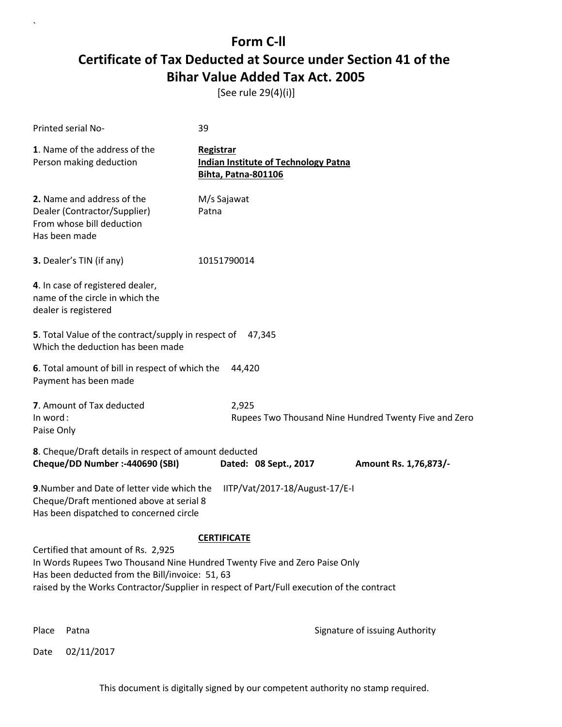[See rule 29(4)(i)]

| Printed serial No-                                                                                                                 | 39                                                                                                                                                                     |
|------------------------------------------------------------------------------------------------------------------------------------|------------------------------------------------------------------------------------------------------------------------------------------------------------------------|
| 1. Name of the address of the<br>Person making deduction                                                                           | Registrar<br><b>Indian Institute of Technology Patna</b><br>Bihta, Patna-801106                                                                                        |
| 2. Name and address of the<br>Dealer (Contractor/Supplier)<br>From whose bill deduction<br>Has been made                           | M/s Sajawat<br>Patna                                                                                                                                                   |
| 3. Dealer's TIN (if any)                                                                                                           | 10151790014                                                                                                                                                            |
| 4. In case of registered dealer,<br>name of the circle in which the<br>dealer is registered                                        |                                                                                                                                                                        |
| 5. Total Value of the contract/supply in respect of<br>Which the deduction has been made                                           | 47,345                                                                                                                                                                 |
| 6. Total amount of bill in respect of which the<br>Payment has been made                                                           | 44,420                                                                                                                                                                 |
| 7. Amount of Tax deducted<br>In word:<br>Paise Only                                                                                | 2,925<br>Rupees Two Thousand Nine Hundred Twenty Five and Zero                                                                                                         |
| 8. Cheque/Draft details in respect of amount deducted<br>Cheque/DD Number :- 440690 (SBI)                                          | Dated: 08 Sept., 2017<br>Amount Rs. 1,76,873/-                                                                                                                         |
| 9. Number and Date of letter vide which the<br>Cheque/Draft mentioned above at serial 8<br>Has been dispatched to concerned circle | IITP/Vat/2017-18/August-17/E-I                                                                                                                                         |
|                                                                                                                                    | <b>CERTIFICATE</b>                                                                                                                                                     |
| Certified that amount of Rs. 2,925<br>Has been deducted from the Bill/invoice: 51, 63                                              | In Words Rupees Two Thousand Nine Hundred Twenty Five and Zero Paise Only<br>raised by the Works Contractor/Supplier in respect of Part/Full execution of the contract |
|                                                                                                                                    |                                                                                                                                                                        |

 $\ddot{\phantom{0}}$ 

Place Patna **Property** Place Patna Signature of issuing Authority

Date 02/11/2017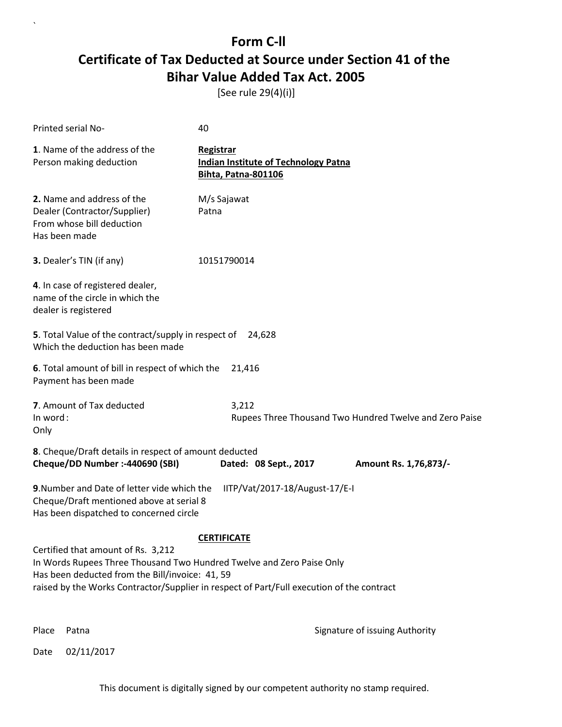[See rule 29(4)(i)]

| Printed serial No-                                                                                                                                                                                                                                          | 40                                                                              |                                                         |
|-------------------------------------------------------------------------------------------------------------------------------------------------------------------------------------------------------------------------------------------------------------|---------------------------------------------------------------------------------|---------------------------------------------------------|
| 1. Name of the address of the<br>Person making deduction                                                                                                                                                                                                    | Registrar<br><b>Indian Institute of Technology Patna</b><br>Bihta, Patna-801106 |                                                         |
| 2. Name and address of the<br>Dealer (Contractor/Supplier)<br>From whose bill deduction<br>Has been made                                                                                                                                                    | M/s Sajawat<br>Patna                                                            |                                                         |
| 3. Dealer's TIN (if any)                                                                                                                                                                                                                                    | 10151790014                                                                     |                                                         |
| 4. In case of registered dealer,<br>name of the circle in which the<br>dealer is registered                                                                                                                                                                 |                                                                                 |                                                         |
| 5. Total Value of the contract/supply in respect of<br>Which the deduction has been made                                                                                                                                                                    | 24,628                                                                          |                                                         |
| 6. Total amount of bill in respect of which the<br>Payment has been made                                                                                                                                                                                    | 21,416                                                                          |                                                         |
| 7. Amount of Tax deducted<br>In word:<br>Only                                                                                                                                                                                                               | 3,212                                                                           | Rupees Three Thousand Two Hundred Twelve and Zero Paise |
| 8. Cheque/Draft details in respect of amount deducted<br>Cheque/DD Number :- 440690 (SBI)                                                                                                                                                                   | Dated: 08 Sept., 2017                                                           | Amount Rs. 1,76,873/-                                   |
| 9. Number and Date of letter vide which the<br>Cheque/Draft mentioned above at serial 8<br>Has been dispatched to concerned circle                                                                                                                          | IITP/Vat/2017-18/August-17/E-I                                                  |                                                         |
| Certified that amount of Rs. 3,212<br>In Words Rupees Three Thousand Two Hundred Twelve and Zero Paise Only<br>Has been deducted from the Bill/invoice: 41, 59<br>raised by the Works Contractor/Supplier in respect of Part/Full execution of the contract | <b>CERTIFICATE</b>                                                              |                                                         |

 $\ddot{\phantom{0}}$ 

Place Patna **Property** Place Patna Signature of issuing Authority

Date 02/11/2017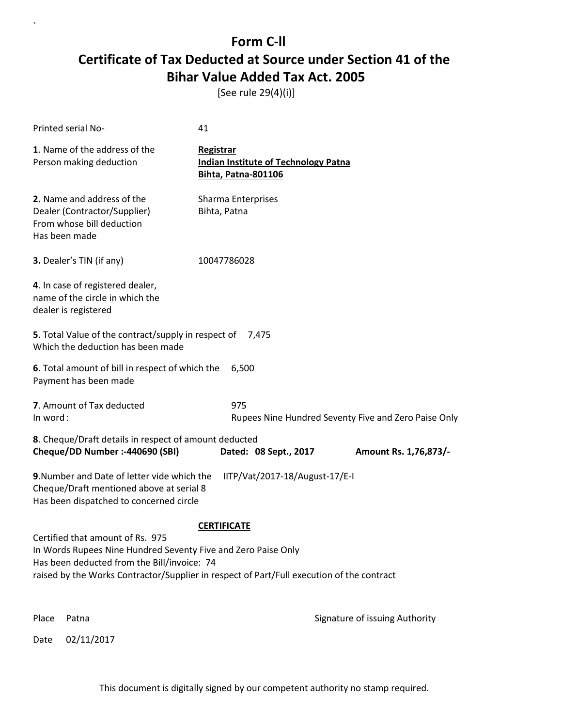[See rule 29(4)(i)]

|                                                                                                                                                                                                                                                                     | Printed serial No-                                                                                       | 41                                                                                     |                                                      |  |
|---------------------------------------------------------------------------------------------------------------------------------------------------------------------------------------------------------------------------------------------------------------------|----------------------------------------------------------------------------------------------------------|----------------------------------------------------------------------------------------|------------------------------------------------------|--|
|                                                                                                                                                                                                                                                                     | 1. Name of the address of the<br>Person making deduction                                                 | Registrar<br><b>Indian Institute of Technology Patna</b><br><b>Bihta, Patna-801106</b> |                                                      |  |
|                                                                                                                                                                                                                                                                     | 2. Name and address of the<br>Dealer (Contractor/Supplier)<br>From whose bill deduction<br>Has been made | <b>Sharma Enterprises</b><br>Bihta, Patna                                              |                                                      |  |
|                                                                                                                                                                                                                                                                     | 3. Dealer's TIN (if any)                                                                                 | 10047786028                                                                            |                                                      |  |
|                                                                                                                                                                                                                                                                     | 4. In case of registered dealer,<br>name of the circle in which the<br>dealer is registered              |                                                                                        |                                                      |  |
|                                                                                                                                                                                                                                                                     | 5. Total Value of the contract/supply in respect of<br>Which the deduction has been made                 | 7.475                                                                                  |                                                      |  |
|                                                                                                                                                                                                                                                                     | 6. Total amount of bill in respect of which the<br>Payment has been made                                 | 6,500                                                                                  |                                                      |  |
| In word:                                                                                                                                                                                                                                                            | 7. Amount of Tax deducted                                                                                | 975                                                                                    | Rupees Nine Hundred Seventy Five and Zero Paise Only |  |
|                                                                                                                                                                                                                                                                     | 8. Cheque/Draft details in respect of amount deducted<br>Cheque/DD Number :- 440690 (SBI)                | Dated: 08 Sept., 2017                                                                  | Amount Rs. 1,76,873/-                                |  |
| 9. Number and Date of letter vide which the<br>IITP/Vat/2017-18/August-17/E-I<br>Cheque/Draft mentioned above at serial 8<br>Has been dispatched to concerned circle                                                                                                |                                                                                                          |                                                                                        |                                                      |  |
| <b>CERTIFICATE</b><br>Certified that amount of Rs. 975<br>In Words Rupees Nine Hundred Seventy Five and Zero Paise Only<br>Has been deducted from the Bill/invoice: 74<br>raised by the Works Contractor/Supplier in respect of Part/Full execution of the contract |                                                                                                          |                                                                                        |                                                      |  |
| Place                                                                                                                                                                                                                                                               | Patna                                                                                                    |                                                                                        | Signature of issuing Authority                       |  |
| Date                                                                                                                                                                                                                                                                | 02/11/2017                                                                                               |                                                                                        |                                                      |  |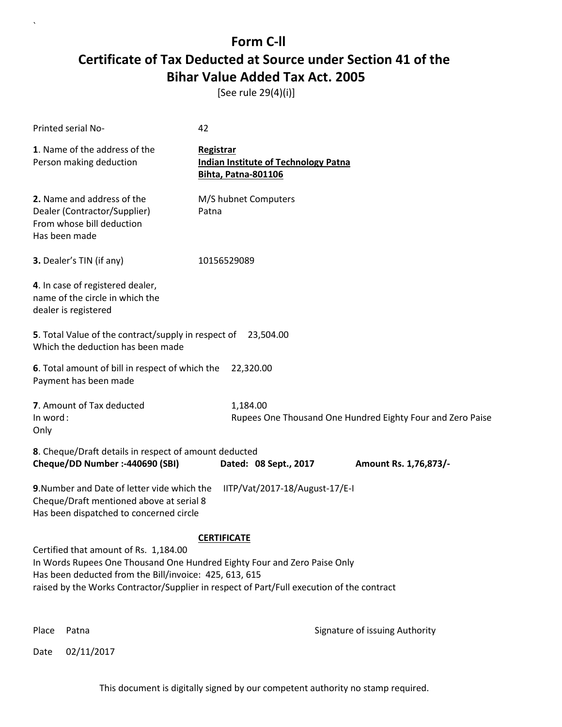[See rule 29(4)(i)]

| Printed serial No-                                                                                                                                                          | 42                                                                                        |
|-----------------------------------------------------------------------------------------------------------------------------------------------------------------------------|-------------------------------------------------------------------------------------------|
| 1. Name of the address of the<br>Person making deduction                                                                                                                    | Registrar<br><b>Indian Institute of Technology Patna</b><br>Bihta, Patna-801106           |
| 2. Name and address of the<br>Dealer (Contractor/Supplier)<br>From whose bill deduction<br>Has been made                                                                    | M/S hubnet Computers<br>Patna                                                             |
| 3. Dealer's TIN (if any)                                                                                                                                                    | 10156529089                                                                               |
| 4. In case of registered dealer,<br>name of the circle in which the<br>dealer is registered                                                                                 |                                                                                           |
| 5. Total Value of the contract/supply in respect of 23,504.00<br>Which the deduction has been made                                                                          |                                                                                           |
| 6. Total amount of bill in respect of which the<br>Payment has been made                                                                                                    | 22,320.00                                                                                 |
| 7. Amount of Tax deducted<br>In word:<br>Only                                                                                                                               | 1,184.00<br>Rupees One Thousand One Hundred Eighty Four and Zero Paise                    |
| 8. Cheque/Draft details in respect of amount deducted<br>Cheque/DD Number :- 440690 (SBI)                                                                                   | Dated: 08 Sept., 2017<br>Amount Rs. 1,76,873/-                                            |
| 9. Number and Date of letter vide which the<br>Cheque/Draft mentioned above at serial 8<br>Has been dispatched to concerned circle                                          | IITP/Vat/2017-18/August-17/E-I                                                            |
|                                                                                                                                                                             | <b>CERTIFICATE</b>                                                                        |
| Certified that amount of Rs. 1,184.00<br>In Words Rupees One Thousand One Hundred Eighty Four and Zero Paise Only<br>Has been deducted from the Bill/invoice: 425, 613, 615 | raised by the Works Contractor/Supplier in respect of Part/Full execution of the contract |
|                                                                                                                                                                             |                                                                                           |

 $\ddot{\phantom{0}}$ 

Place Patna **Property** Place Patna Signature of issuing Authority

Date 02/11/2017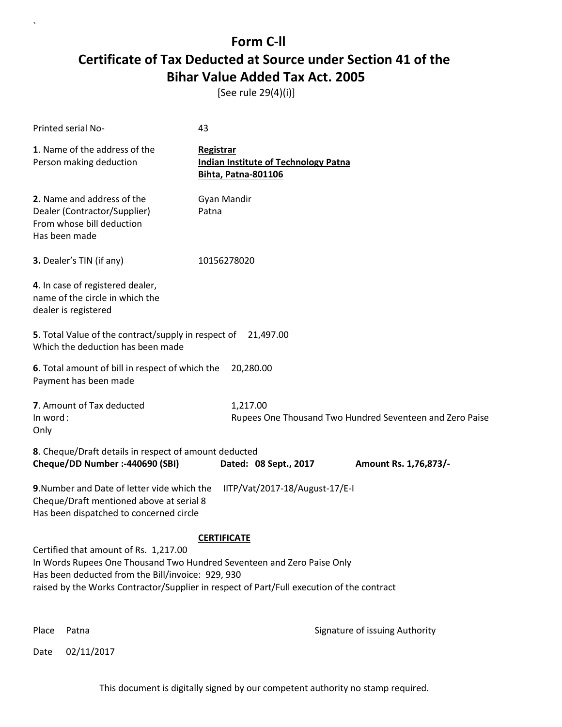[See rule 29(4)(i)]

| <b>Printed serial No-</b>                                                                                                                                            | 43                                                                                                              |
|----------------------------------------------------------------------------------------------------------------------------------------------------------------------|-----------------------------------------------------------------------------------------------------------------|
| 1. Name of the address of the<br>Person making deduction                                                                                                             | Registrar<br><b>Indian Institute of Technology Patna</b><br><b>Bihta, Patna-801106</b>                          |
| 2. Name and address of the<br>Dealer (Contractor/Supplier)<br>From whose bill deduction<br>Has been made                                                             | Gyan Mandir<br>Patna                                                                                            |
| 3. Dealer's TIN (if any)                                                                                                                                             | 10156278020                                                                                                     |
| 4. In case of registered dealer,<br>name of the circle in which the<br>dealer is registered                                                                          |                                                                                                                 |
| 5. Total Value of the contract/supply in respect of<br>Which the deduction has been made                                                                             | 21,497.00                                                                                                       |
| 6. Total amount of bill in respect of which the<br>Payment has been made                                                                                             | 20,280.00                                                                                                       |
| 7. Amount of Tax deducted<br>In word:<br>Only                                                                                                                        | 1,217.00<br>Rupees One Thousand Two Hundred Seventeen and Zero Paise                                            |
| 8. Cheque/Draft details in respect of amount deducted<br>Cheque/DD Number :- 440690 (SBI)                                                                            | Dated: 08 Sept., 2017<br>Amount Rs. 1,76,873/-                                                                  |
| 9. Number and Date of letter vide which the<br>Cheque/Draft mentioned above at serial 8<br>Has been dispatched to concerned circle                                   | IITP/Vat/2017-18/August-17/E-I                                                                                  |
| Certified that amount of Rs. 1,217.00<br>In Words Rupees One Thousand Two Hundred Seventeen and Zero Paise Only<br>Has been deducted from the Bill/invoice: 929, 930 | <b>CERTIFICATE</b><br>raised by the Works Contractor/Supplier in respect of Part/Full execution of the contract |

 $\ddot{\phantom{0}}$ 

Place Patna **Property** Place Patna Signature of issuing Authority

Date 02/11/2017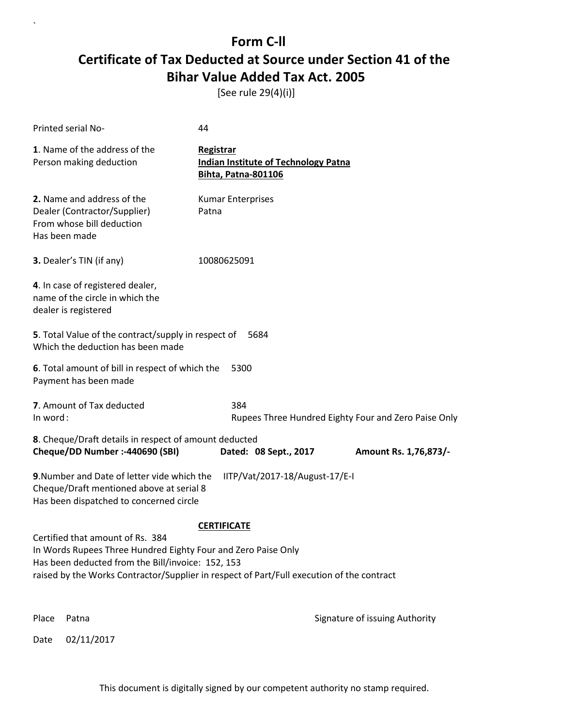[See rule 29(4)(i)]

|                                                                                                                                                                      | Printed serial No-                                                                                       | 44                                                                                     |                                                      |  |
|----------------------------------------------------------------------------------------------------------------------------------------------------------------------|----------------------------------------------------------------------------------------------------------|----------------------------------------------------------------------------------------|------------------------------------------------------|--|
|                                                                                                                                                                      | 1. Name of the address of the<br>Person making deduction                                                 | Registrar<br><b>Indian Institute of Technology Patna</b><br><b>Bihta, Patna-801106</b> |                                                      |  |
|                                                                                                                                                                      | 2. Name and address of the<br>Dealer (Contractor/Supplier)<br>From whose bill deduction<br>Has been made | <b>Kumar Enterprises</b><br>Patna                                                      |                                                      |  |
|                                                                                                                                                                      | 3. Dealer's TIN (if any)                                                                                 | 10080625091                                                                            |                                                      |  |
|                                                                                                                                                                      | 4. In case of registered dealer,<br>name of the circle in which the<br>dealer is registered              |                                                                                        |                                                      |  |
|                                                                                                                                                                      | 5. Total Value of the contract/supply in respect of<br>Which the deduction has been made                 | 5684                                                                                   |                                                      |  |
|                                                                                                                                                                      | 6. Total amount of bill in respect of which the<br>Payment has been made                                 | 5300                                                                                   |                                                      |  |
| In word:                                                                                                                                                             | 7. Amount of Tax deducted                                                                                | 384                                                                                    | Rupees Three Hundred Eighty Four and Zero Paise Only |  |
|                                                                                                                                                                      | 8. Cheque/Draft details in respect of amount deducted                                                    |                                                                                        |                                                      |  |
|                                                                                                                                                                      | Cheque/DD Number :- 440690 (SBI)                                                                         | Dated: 08 Sept., 2017                                                                  | Amount Rs. 1,76,873/-                                |  |
| 9. Number and Date of letter vide which the<br>IITP/Vat/2017-18/August-17/E-I<br>Cheque/Draft mentioned above at serial 8<br>Has been dispatched to concerned circle |                                                                                                          |                                                                                        |                                                      |  |
| <b>CERTIFICATE</b>                                                                                                                                                   |                                                                                                          |                                                                                        |                                                      |  |
| Certified that amount of Rs. 384<br>In Words Rupees Three Hundred Eighty Four and Zero Paise Only                                                                    |                                                                                                          |                                                                                        |                                                      |  |
| Has been deducted from the Bill/invoice: 152, 153                                                                                                                    |                                                                                                          |                                                                                        |                                                      |  |
|                                                                                                                                                                      | raised by the Works Contractor/Supplier in respect of Part/Full execution of the contract                |                                                                                        |                                                      |  |
|                                                                                                                                                                      |                                                                                                          |                                                                                        |                                                      |  |
| Place                                                                                                                                                                | Patna                                                                                                    |                                                                                        | Signature of issuing Authority                       |  |
| Date                                                                                                                                                                 | 02/11/2017                                                                                               |                                                                                        |                                                      |  |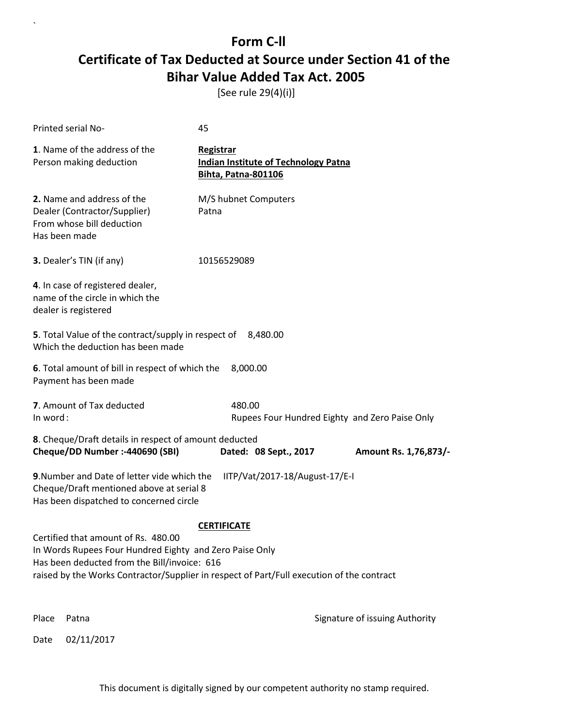[See rule 29(4)(i)]

 $\ddot{\phantom{0}}$ 

| Printed serial No-                                                                                                                             | 45                                                                                                              |                                |
|------------------------------------------------------------------------------------------------------------------------------------------------|-----------------------------------------------------------------------------------------------------------------|--------------------------------|
| 1. Name of the address of the<br>Person making deduction                                                                                       | Registrar<br><b>Indian Institute of Technology Patna</b><br><b>Bihta, Patna-801106</b>                          |                                |
| 2. Name and address of the<br>Dealer (Contractor/Supplier)<br>From whose bill deduction<br>Has been made                                       | M/S hubnet Computers<br>Patna                                                                                   |                                |
| 3. Dealer's TIN (if any)                                                                                                                       | 10156529089                                                                                                     |                                |
| 4. In case of registered dealer,<br>name of the circle in which the<br>dealer is registered                                                    |                                                                                                                 |                                |
| 5. Total Value of the contract/supply in respect of<br>Which the deduction has been made                                                       | 8,480.00                                                                                                        |                                |
| 6. Total amount of bill in respect of which the<br>Payment has been made                                                                       | 8,000.00                                                                                                        |                                |
| 7. Amount of Tax deducted<br>In word:                                                                                                          | 480.00<br>Rupees Four Hundred Eighty and Zero Paise Only                                                        |                                |
| 8. Cheque/Draft details in respect of amount deducted<br>Cheque/DD Number :- 440690 (SBI)                                                      | Dated: 08 Sept., 2017                                                                                           | Amount Rs. 1,76,873/-          |
| 9. Number and Date of letter vide which the<br>Cheque/Draft mentioned above at serial 8<br>Has been dispatched to concerned circle             | IITP/Vat/2017-18/August-17/E-I                                                                                  |                                |
| Certified that amount of Rs. 480.00<br>In Words Rupees Four Hundred Eighty and Zero Paise Only<br>Has been deducted from the Bill/invoice: 616 | <b>CERTIFICATE</b><br>raised by the Works Contractor/Supplier in respect of Part/Full execution of the contract |                                |
| Place<br>Patna                                                                                                                                 |                                                                                                                 | Signature of issuing Authority |
| 02/11/2017<br>Date                                                                                                                             |                                                                                                                 |                                |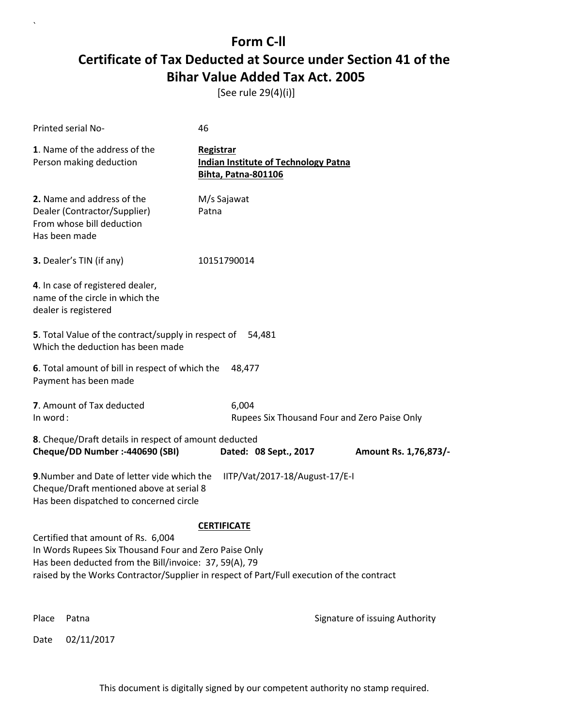[See rule 29(4)(i)]

 $\ddot{\phantom{0}}$ 

| Printed serial No-                                                                                                                                                                                                                                 | 46                                                                              |                                              |
|----------------------------------------------------------------------------------------------------------------------------------------------------------------------------------------------------------------------------------------------------|---------------------------------------------------------------------------------|----------------------------------------------|
| 1. Name of the address of the<br>Person making deduction                                                                                                                                                                                           | Registrar<br><b>Indian Institute of Technology Patna</b><br>Bihta, Patna-801106 |                                              |
| 2. Name and address of the<br>Dealer (Contractor/Supplier)<br>From whose bill deduction<br>Has been made                                                                                                                                           | M/s Sajawat<br>Patna                                                            |                                              |
| <b>3.</b> Dealer's TIN (if any)                                                                                                                                                                                                                    | 10151790014                                                                     |                                              |
| 4. In case of registered dealer,<br>name of the circle in which the<br>dealer is registered                                                                                                                                                        |                                                                                 |                                              |
| 5. Total Value of the contract/supply in respect of<br>Which the deduction has been made                                                                                                                                                           | 54,481                                                                          |                                              |
| 6. Total amount of bill in respect of which the<br>Payment has been made                                                                                                                                                                           | 48,477                                                                          |                                              |
| 7. Amount of Tax deducted<br>In word:                                                                                                                                                                                                              | 6,004                                                                           | Rupees Six Thousand Four and Zero Paise Only |
| 8. Cheque/Draft details in respect of amount deducted<br>Cheque/DD Number :- 440690 (SBI)                                                                                                                                                          | Dated: 08 Sept., 2017                                                           | Amount Rs. 1,76,873/-                        |
| 9. Number and Date of letter vide which the<br>Cheque/Draft mentioned above at serial 8<br>Has been dispatched to concerned circle                                                                                                                 | IITP/Vat/2017-18/August-17/E-I                                                  |                                              |
| Certified that amount of Rs. 6,004<br>In Words Rupees Six Thousand Four and Zero Paise Only<br>Has been deducted from the Bill/invoice: 37, 59(A), 79<br>raised by the Works Contractor/Supplier in respect of Part/Full execution of the contract | <b>CERTIFICATE</b>                                                              |                                              |
| Place<br>Patna                                                                                                                                                                                                                                     |                                                                                 | Signature of issuing Authority               |
| 02/11/2017<br>Date                                                                                                                                                                                                                                 |                                                                                 |                                              |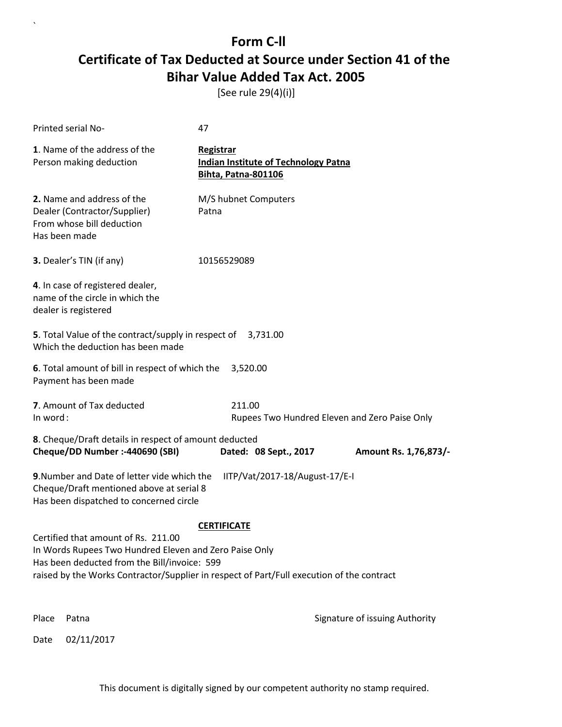[See rule 29(4)(i)]

|          | Printed serial No-                                                                                                                                                                                                                         | 47                               |                                             |                                               |
|----------|--------------------------------------------------------------------------------------------------------------------------------------------------------------------------------------------------------------------------------------------|----------------------------------|---------------------------------------------|-----------------------------------------------|
|          | 1. Name of the address of the<br>Person making deduction                                                                                                                                                                                   | Registrar<br>Bihta, Patna-801106 | <b>Indian Institute of Technology Patna</b> |                                               |
|          | 2. Name and address of the<br>Dealer (Contractor/Supplier)<br>From whose bill deduction<br>Has been made                                                                                                                                   | M/S hubnet Computers<br>Patna    |                                             |                                               |
|          | 3. Dealer's TIN (if any)                                                                                                                                                                                                                   | 10156529089                      |                                             |                                               |
|          | 4. In case of registered dealer,<br>name of the circle in which the<br>dealer is registered                                                                                                                                                |                                  |                                             |                                               |
|          | 5. Total Value of the contract/supply in respect of<br>Which the deduction has been made                                                                                                                                                   |                                  | 3,731.00                                    |                                               |
|          | 6. Total amount of bill in respect of which the<br>Payment has been made                                                                                                                                                                   | 3,520.00                         |                                             |                                               |
| In word: | 7. Amount of Tax deducted                                                                                                                                                                                                                  | 211.00                           |                                             | Rupees Two Hundred Eleven and Zero Paise Only |
|          | 8. Cheque/Draft details in respect of amount deducted<br>Cheque/DD Number :- 440690 (SBI)                                                                                                                                                  |                                  | Dated: 08 Sept., 2017                       | Amount Rs. 1,76,873/-                         |
|          | 9. Number and Date of letter vide which the<br>Cheque/Draft mentioned above at serial 8<br>Has been dispatched to concerned circle                                                                                                         |                                  | IITP/Vat/2017-18/August-17/E-I              |                                               |
|          | Certified that amount of Rs. 211.00<br>In Words Rupees Two Hundred Eleven and Zero Paise Only<br>Has been deducted from the Bill/invoice: 599<br>raised by the Works Contractor/Supplier in respect of Part/Full execution of the contract | <b>CERTIFICATE</b>               |                                             |                                               |
| Place    | Patna                                                                                                                                                                                                                                      |                                  |                                             | Signature of issuing Authority                |
| Date     | 02/11/2017                                                                                                                                                                                                                                 |                                  |                                             |                                               |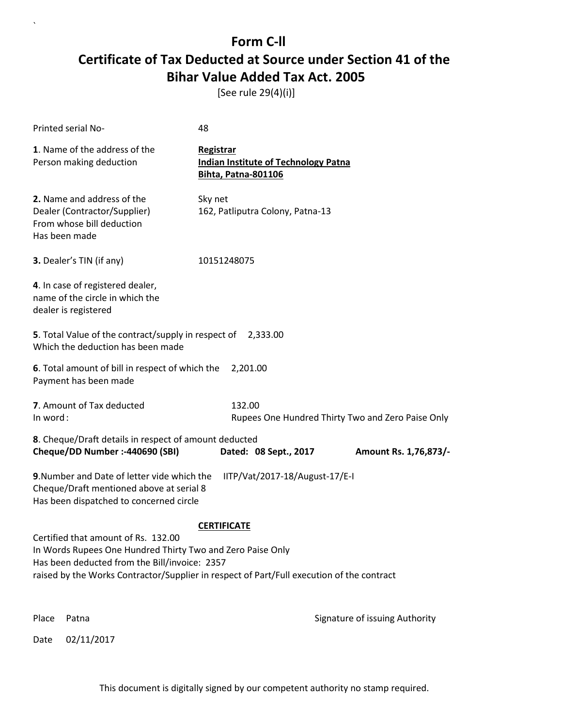[See rule 29(4)(i)]

| Printed serial No-                                                                                                                                                                                                                              | 48                                                                                     |                                |  |  |
|-------------------------------------------------------------------------------------------------------------------------------------------------------------------------------------------------------------------------------------------------|----------------------------------------------------------------------------------------|--------------------------------|--|--|
| 1. Name of the address of the<br>Person making deduction                                                                                                                                                                                        | Registrar<br><b>Indian Institute of Technology Patna</b><br><b>Bihta, Patna-801106</b> |                                |  |  |
| 2. Name and address of the<br>Dealer (Contractor/Supplier)<br>From whose bill deduction<br>Has been made                                                                                                                                        | Sky net<br>162, Patliputra Colony, Patna-13                                            |                                |  |  |
| 3. Dealer's TIN (if any)                                                                                                                                                                                                                        | 10151248075                                                                            |                                |  |  |
| 4. In case of registered dealer,<br>name of the circle in which the<br>dealer is registered                                                                                                                                                     |                                                                                        |                                |  |  |
| 5. Total Value of the contract/supply in respect of 2,333.00<br>Which the deduction has been made                                                                                                                                               |                                                                                        |                                |  |  |
| 6. Total amount of bill in respect of which the<br>Payment has been made                                                                                                                                                                        | 2,201.00                                                                               |                                |  |  |
| 7. Amount of Tax deducted<br>In word:                                                                                                                                                                                                           | 132.00<br>Rupees One Hundred Thirty Two and Zero Paise Only                            |                                |  |  |
| 8. Cheque/Draft details in respect of amount deducted<br>Cheque/DD Number :- 440690 (SBI)                                                                                                                                                       | Dated: 08 Sept., 2017                                                                  | Amount Rs. 1,76,873/-          |  |  |
| 9. Number and Date of letter vide which the<br>IITP/Vat/2017-18/August-17/E-I<br>Cheque/Draft mentioned above at serial 8<br>Has been dispatched to concerned circle                                                                            |                                                                                        |                                |  |  |
|                                                                                                                                                                                                                                                 | <b>CERTIFICATE</b>                                                                     |                                |  |  |
| Certified that amount of Rs. 132.00<br>In Words Rupees One Hundred Thirty Two and Zero Paise Only<br>Has been deducted from the Bill/invoice: 2357<br>raised by the Works Contractor/Supplier in respect of Part/Full execution of the contract |                                                                                        |                                |  |  |
|                                                                                                                                                                                                                                                 |                                                                                        |                                |  |  |
| Place<br>Patna                                                                                                                                                                                                                                  |                                                                                        | Signature of issuing Authority |  |  |

Date 02/11/2017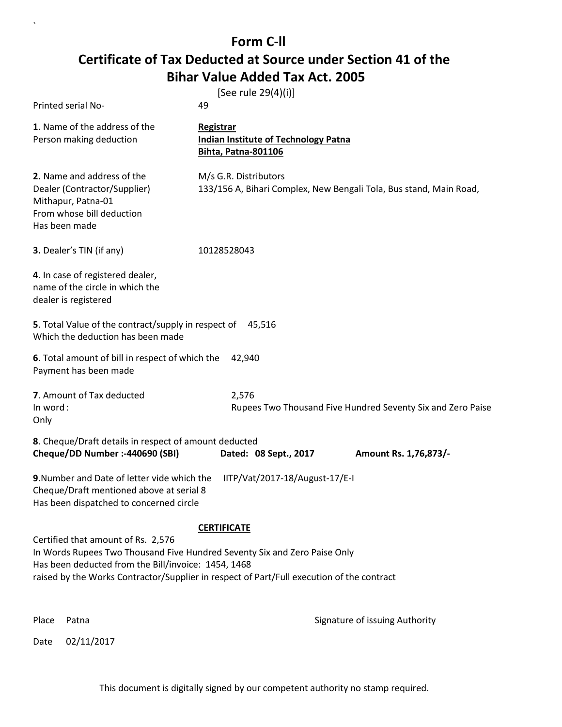`

|                                                                                                                                                                                                                                                                     | [See rule 29(4)(i)]                                                                         |                                                             |
|---------------------------------------------------------------------------------------------------------------------------------------------------------------------------------------------------------------------------------------------------------------------|---------------------------------------------------------------------------------------------|-------------------------------------------------------------|
| Printed serial No-                                                                                                                                                                                                                                                  | 49                                                                                          |                                                             |
| 1. Name of the address of the<br>Person making deduction                                                                                                                                                                                                            | Registrar<br>Indian Institute of Technology Patna<br><b>Bihta, Patna-801106</b>             |                                                             |
| 2. Name and address of the<br>Dealer (Contractor/Supplier)<br>Mithapur, Patna-01<br>From whose bill deduction<br>Has been made                                                                                                                                      | M/s G.R. Distributors<br>133/156 A, Bihari Complex, New Bengali Tola, Bus stand, Main Road, |                                                             |
| 3. Dealer's TIN (if any)                                                                                                                                                                                                                                            | 10128528043                                                                                 |                                                             |
| 4. In case of registered dealer,<br>name of the circle in which the<br>dealer is registered                                                                                                                                                                         |                                                                                             |                                                             |
| 5. Total Value of the contract/supply in respect of<br>Which the deduction has been made                                                                                                                                                                            | 45,516                                                                                      |                                                             |
| 6. Total amount of bill in respect of which the<br>Payment has been made                                                                                                                                                                                            | 42,940                                                                                      |                                                             |
| 7. Amount of Tax deducted<br>In word:<br>Only                                                                                                                                                                                                                       | 2,576                                                                                       | Rupees Two Thousand Five Hundred Seventy Six and Zero Paise |
| 8. Cheque/Draft details in respect of amount deducted<br>Cheque/DD Number :- 440690 (SBI)                                                                                                                                                                           | Dated: 08 Sept., 2017                                                                       | Amount Rs. 1,76,873/-                                       |
| 9. Number and Date of letter vide which the<br>Cheque/Draft mentioned above at serial 8<br>Has been dispatched to concerned circle                                                                                                                                  | IITP/Vat/2017-18/August-17/E-I                                                              |                                                             |
| <b>CERTIFICATE</b>                                                                                                                                                                                                                                                  |                                                                                             |                                                             |
| Certified that amount of Rs. 2,576<br>In Words Rupees Two Thousand Five Hundred Seventy Six and Zero Paise Only<br>Has been deducted from the Bill/invoice: 1454, 1468<br>raised by the Works Contractor/Supplier in respect of Part/Full execution of the contract |                                                                                             |                                                             |
| Place<br>Patna                                                                                                                                                                                                                                                      |                                                                                             | Signature of issuing Authority                              |
| 02/11/2017<br>Date                                                                                                                                                                                                                                                  |                                                                                             |                                                             |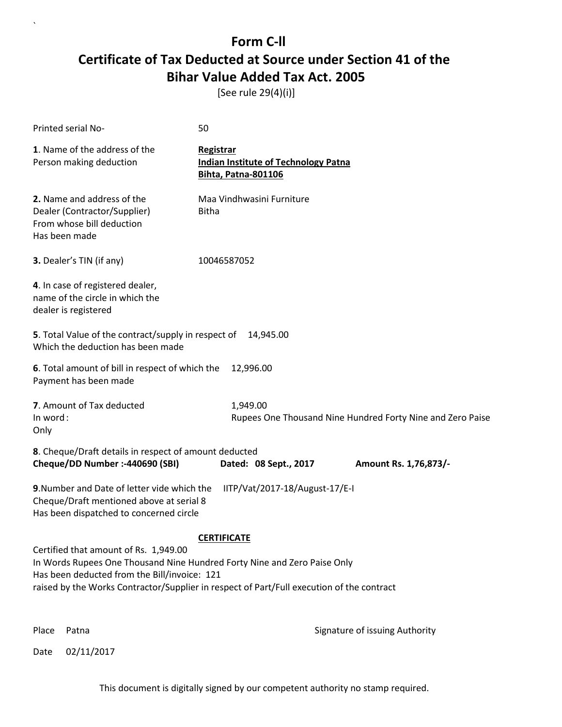[See rule 29(4)(i)]

| Printed serial No-                                                                                                                                                                                                                                             | 50                                                                              |  |
|----------------------------------------------------------------------------------------------------------------------------------------------------------------------------------------------------------------------------------------------------------------|---------------------------------------------------------------------------------|--|
| 1. Name of the address of the<br>Person making deduction                                                                                                                                                                                                       | Registrar<br><b>Indian Institute of Technology Patna</b><br>Bihta, Patna-801106 |  |
| 2. Name and address of the<br>Dealer (Contractor/Supplier)<br>From whose bill deduction<br>Has been made                                                                                                                                                       | Maa Vindhwasini Furniture<br><b>Bitha</b>                                       |  |
| 3. Dealer's TIN (if any)                                                                                                                                                                                                                                       | 10046587052                                                                     |  |
| 4. In case of registered dealer,<br>name of the circle in which the<br>dealer is registered                                                                                                                                                                    |                                                                                 |  |
| 5. Total Value of the contract/supply in respect of<br>Which the deduction has been made                                                                                                                                                                       | 14,945.00                                                                       |  |
| 6. Total amount of bill in respect of which the<br>Payment has been made                                                                                                                                                                                       | 12,996.00                                                                       |  |
| 7. Amount of Tax deducted<br>In word:<br>Only                                                                                                                                                                                                                  | 1,949.00<br>Rupees One Thousand Nine Hundred Forty Nine and Zero Paise          |  |
| 8. Cheque/Draft details in respect of amount deducted<br>Cheque/DD Number :- 440690 (SBI)                                                                                                                                                                      | Dated: 08 Sept., 2017<br>Amount Rs. 1,76,873/-                                  |  |
| 9. Number and Date of letter vide which the<br>IITP/Vat/2017-18/August-17/E-I<br>Cheque/Draft mentioned above at serial 8<br>Has been dispatched to concerned circle                                                                                           |                                                                                 |  |
| <b>CERTIFICATE</b>                                                                                                                                                                                                                                             |                                                                                 |  |
| Certified that amount of Rs. 1,949.00<br>In Words Rupees One Thousand Nine Hundred Forty Nine and Zero Paise Only<br>Has been deducted from the Bill/invoice: 121<br>raised by the Works Contractor/Supplier in respect of Part/Full execution of the contract |                                                                                 |  |
|                                                                                                                                                                                                                                                                |                                                                                 |  |

 $\ddot{\phantom{0}}$ 

Place Patna **Property** Place Patna Signature of issuing Authority

Date 02/11/2017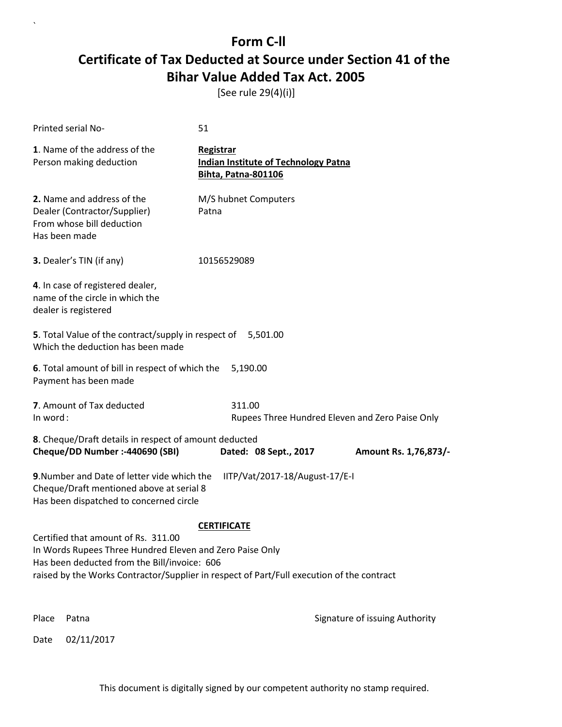[See rule 29(4)(i)]

| Printed serial No-                                                                                                                                                                                                                                                 |                                                                                                                                    | 51                                      |                                             |                                                 |
|--------------------------------------------------------------------------------------------------------------------------------------------------------------------------------------------------------------------------------------------------------------------|------------------------------------------------------------------------------------------------------------------------------------|-----------------------------------------|---------------------------------------------|-------------------------------------------------|
|                                                                                                                                                                                                                                                                    | 1. Name of the address of the<br>Person making deduction                                                                           | Registrar<br><b>Bihta, Patna-801106</b> | <b>Indian Institute of Technology Patna</b> |                                                 |
| Has been made                                                                                                                                                                                                                                                      | 2. Name and address of the<br>Dealer (Contractor/Supplier)<br>From whose bill deduction                                            | M/S hubnet Computers<br>Patna           |                                             |                                                 |
|                                                                                                                                                                                                                                                                    | 3. Dealer's TIN (if any)                                                                                                           | 10156529089                             |                                             |                                                 |
| dealer is registered                                                                                                                                                                                                                                               | 4. In case of registered dealer,<br>name of the circle in which the                                                                |                                         |                                             |                                                 |
|                                                                                                                                                                                                                                                                    | 5. Total Value of the contract/supply in respect of<br>Which the deduction has been made                                           |                                         | 5,501.00                                    |                                                 |
|                                                                                                                                                                                                                                                                    | 6. Total amount of bill in respect of which the<br>Payment has been made                                                           | 5,190.00                                |                                             |                                                 |
| In word:                                                                                                                                                                                                                                                           | 7. Amount of Tax deducted                                                                                                          | 311.00                                  |                                             | Rupees Three Hundred Eleven and Zero Paise Only |
|                                                                                                                                                                                                                                                                    | 8. Cheque/Draft details in respect of amount deducted<br>Cheque/DD Number :- 440690 (SBI)                                          |                                         | Dated: 08 Sept., 2017                       | Amount Rs. 1,76,873/-                           |
|                                                                                                                                                                                                                                                                    | 9. Number and Date of letter vide which the<br>Cheque/Draft mentioned above at serial 8<br>Has been dispatched to concerned circle |                                         | IITP/Vat/2017-18/August-17/E-I              |                                                 |
| <b>CERTIFICATE</b><br>Certified that amount of Rs. 311.00<br>In Words Rupees Three Hundred Eleven and Zero Paise Only<br>Has been deducted from the Bill/invoice: 606<br>raised by the Works Contractor/Supplier in respect of Part/Full execution of the contract |                                                                                                                                    |                                         |                                             |                                                 |
| Place                                                                                                                                                                                                                                                              | Patna                                                                                                                              |                                         |                                             | Signature of issuing Authority                  |
| Date                                                                                                                                                                                                                                                               | 02/11/2017                                                                                                                         |                                         |                                             |                                                 |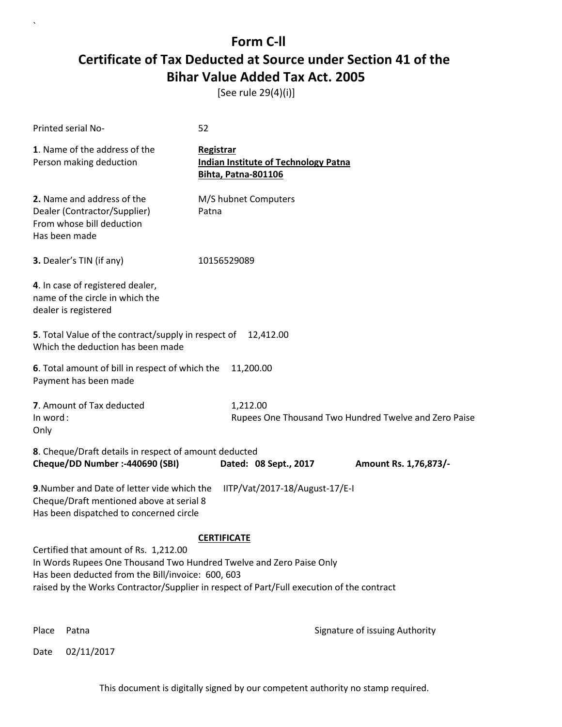[See rule 29(4)(i)]

| Printed serial No-                                                                                                                                                                                                                                                                   | 52                                                                                     |  |
|--------------------------------------------------------------------------------------------------------------------------------------------------------------------------------------------------------------------------------------------------------------------------------------|----------------------------------------------------------------------------------------|--|
| 1. Name of the address of the<br>Person making deduction                                                                                                                                                                                                                             | Registrar<br><b>Indian Institute of Technology Patna</b><br><b>Bihta, Patna-801106</b> |  |
| 2. Name and address of the<br>Dealer (Contractor/Supplier)<br>From whose bill deduction<br>Has been made                                                                                                                                                                             | M/S hubnet Computers<br>Patna                                                          |  |
| 3. Dealer's TIN (if any)                                                                                                                                                                                                                                                             | 10156529089                                                                            |  |
| 4. In case of registered dealer,<br>name of the circle in which the<br>dealer is registered                                                                                                                                                                                          |                                                                                        |  |
| 5. Total Value of the contract/supply in respect of<br>12,412.00<br>Which the deduction has been made                                                                                                                                                                                |                                                                                        |  |
| 6. Total amount of bill in respect of which the<br>Payment has been made                                                                                                                                                                                                             | 11,200.00                                                                              |  |
| 7. Amount of Tax deducted<br>In word:<br>Only                                                                                                                                                                                                                                        | 1,212.00<br>Rupees One Thousand Two Hundred Twelve and Zero Paise                      |  |
| 8. Cheque/Draft details in respect of amount deducted<br>Cheque/DD Number :- 440690 (SBI)                                                                                                                                                                                            | Dated: 08 Sept., 2017<br>Amount Rs. 1,76,873/-                                         |  |
| 9. Number and Date of letter vide which the<br>IITP/Vat/2017-18/August-17/E-I<br>Cheque/Draft mentioned above at serial 8<br>Has been dispatched to concerned circle                                                                                                                 |                                                                                        |  |
| <b>CERTIFICATE</b><br>Certified that amount of Rs. 1,212.00<br>In Words Rupees One Thousand Two Hundred Twelve and Zero Paise Only<br>Has been deducted from the Bill/invoice: 600, 603<br>raised by the Works Contractor/Supplier in respect of Part/Full execution of the contract |                                                                                        |  |

 $\ddot{\phantom{0}}$ 

Place Patna **Property** Place Patna Signature of issuing Authority

Date 02/11/2017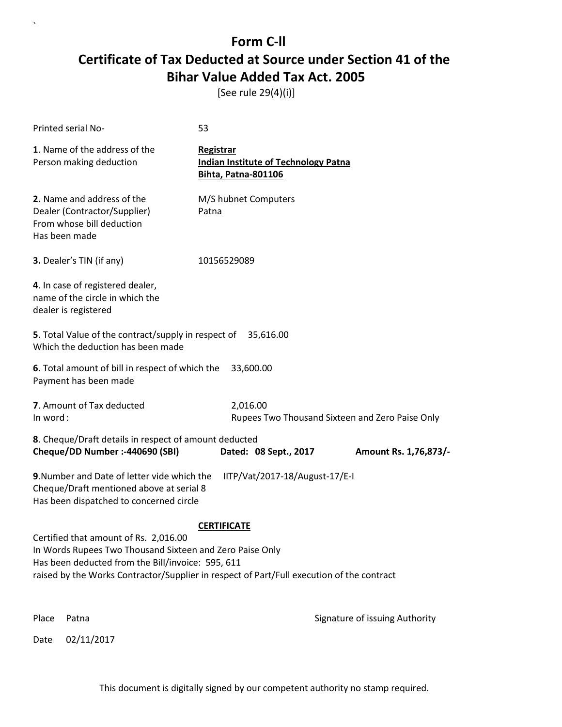[See rule 29(4)(i)]

| Printed serial No-                                                                                                                                     | 53                                                                                                              |
|--------------------------------------------------------------------------------------------------------------------------------------------------------|-----------------------------------------------------------------------------------------------------------------|
| 1. Name of the address of the<br>Person making deduction                                                                                               | Registrar<br><b>Indian Institute of Technology Patna</b><br><b>Bihta, Patna-801106</b>                          |
| 2. Name and address of the<br>Dealer (Contractor/Supplier)<br>From whose bill deduction<br>Has been made                                               | M/S hubnet Computers<br>Patna                                                                                   |
| 3. Dealer's TIN (if any)                                                                                                                               | 10156529089                                                                                                     |
| 4. In case of registered dealer,<br>name of the circle in which the<br>dealer is registered                                                            |                                                                                                                 |
| 5. Total Value of the contract/supply in respect of<br>Which the deduction has been made                                                               | 35,616.00                                                                                                       |
| 6. Total amount of bill in respect of which the<br>Payment has been made                                                                               | 33,600.00                                                                                                       |
| 7. Amount of Tax deducted<br>In word:                                                                                                                  | 2,016.00<br>Rupees Two Thousand Sixteen and Zero Paise Only                                                     |
| 8. Cheque/Draft details in respect of amount deducted<br>Cheque/DD Number :- 440690 (SBI)                                                              | Dated: 08 Sept., 2017<br>Amount Rs. 1,76,873/-                                                                  |
| 9. Number and Date of letter vide which the<br>Cheque/Draft mentioned above at serial 8<br>Has been dispatched to concerned circle                     | IITP/Vat/2017-18/August-17/E-I                                                                                  |
| Certified that amount of Rs. 2,016.00<br>In Words Rupees Two Thousand Sixteen and Zero Paise Only<br>Has been deducted from the Bill/invoice: 595, 611 | <b>CERTIFICATE</b><br>raised by the Works Contractor/Supplier in respect of Part/Full execution of the contract |
| Place<br>Patna                                                                                                                                         | Signature of issuing Authority                                                                                  |
| 02/11/2017<br>Date                                                                                                                                     |                                                                                                                 |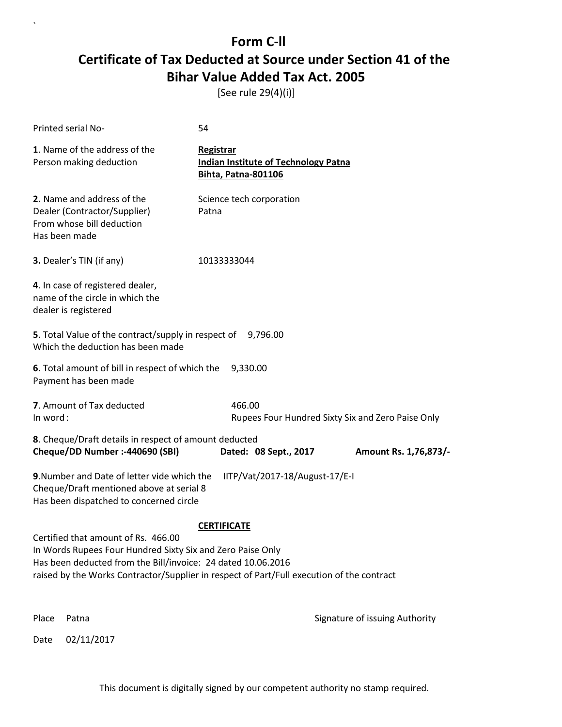[See rule 29(4)(i)]

| Printed serial No-                                                                                                                                                | 54                                                                                                              |                                                   |
|-------------------------------------------------------------------------------------------------------------------------------------------------------------------|-----------------------------------------------------------------------------------------------------------------|---------------------------------------------------|
| 1. Name of the address of the<br>Person making deduction                                                                                                          | Registrar<br><b>Indian Institute of Technology Patna</b><br><b>Bihta, Patna-801106</b>                          |                                                   |
| 2. Name and address of the<br>Dealer (Contractor/Supplier)<br>From whose bill deduction<br>Has been made                                                          | Science tech corporation<br>Patna                                                                               |                                                   |
| <b>3.</b> Dealer's TIN (if any)                                                                                                                                   | 10133333044                                                                                                     |                                                   |
| 4. In case of registered dealer,<br>name of the circle in which the<br>dealer is registered                                                                       |                                                                                                                 |                                                   |
| 5. Total Value of the contract/supply in respect of<br>Which the deduction has been made                                                                          | 9,796.00                                                                                                        |                                                   |
| 6. Total amount of bill in respect of which the<br>Payment has been made                                                                                          | 9,330.00                                                                                                        |                                                   |
| 7. Amount of Tax deducted<br>In word:                                                                                                                             | 466.00                                                                                                          | Rupees Four Hundred Sixty Six and Zero Paise Only |
| 8. Cheque/Draft details in respect of amount deducted<br>Cheque/DD Number :- 440690 (SBI)                                                                         | Dated: 08 Sept., 2017                                                                                           | Amount Rs. 1,76,873/-                             |
| 9. Number and Date of letter vide which the<br>Cheque/Draft mentioned above at serial 8<br>Has been dispatched to concerned circle                                | IITP/Vat/2017-18/August-17/E-I                                                                                  |                                                   |
| Certified that amount of Rs. 466.00<br>In Words Rupees Four Hundred Sixty Six and Zero Paise Only<br>Has been deducted from the Bill/invoice: 24 dated 10.06.2016 | <b>CERTIFICATE</b><br>raised by the Works Contractor/Supplier in respect of Part/Full execution of the contract |                                                   |
| Place<br>Patna                                                                                                                                                    |                                                                                                                 | Signature of issuing Authority                    |
| 02/11/2017<br>Date                                                                                                                                                |                                                                                                                 |                                                   |